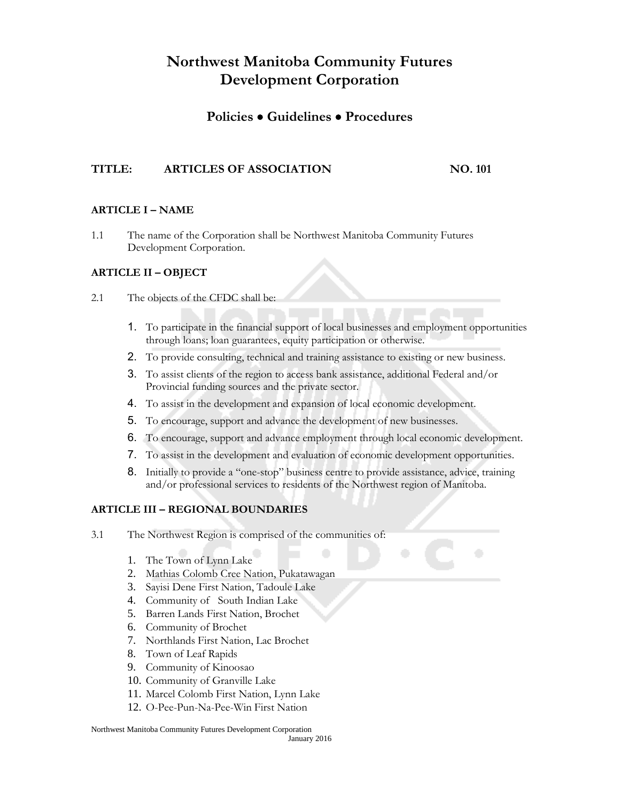### **Policies Guidelines Procedures**

#### **TITLE: ARTICLES OF ASSOCIATION NO. 101**

#### **ARTICLE I – NAME**

1.1 The name of the Corporation shall be Northwest Manitoba Community Futures Development Corporation.

#### **ARTICLE II – OBJECT**

- 2.1 The objects of the CFDC shall be:
	- 1. To participate in the financial support of local businesses and employment opportunities through loans; loan guarantees, equity participation or otherwise.
	- 2. To provide consulting, technical and training assistance to existing or new business.
	- 3. To assist clients of the region to access bank assistance, additional Federal and/or Provincial funding sources and the private sector.
	- 4. To assist in the development and expansion of local economic development.
	- 5. To encourage, support and advance the development of new businesses.
	- 6. To encourage, support and advance employment through local economic development.
	- 7. To assist in the development and evaluation of economic development opportunities.
	- 8. Initially to provide a "one-stop" business centre to provide assistance, advice, training and/or professional services to residents of the Northwest region of Manitoba.

#### **ARTICLE III – REGIONAL BOUNDARIES**

- 3.1 The Northwest Region is comprised of the communities of:
	- 1. The Town of Lynn Lake
	- 2. Mathias Colomb Cree Nation, Pukatawagan
	- 3. Sayisi Dene First Nation, Tadoule Lake
	- 4. Community of South Indian Lake
	- 5. Barren Lands First Nation, Brochet
	- 6. Community of Brochet
	- 7. Northlands First Nation, Lac Brochet
	- 8. Town of Leaf Rapids
	- 9. Community of Kinoosao
	- 10. Community of Granville Lake
	- 11. Marcel Colomb First Nation, Lynn Lake
	- 12. O-Pee-Pun-Na-Pee-Win First Nation

Northwest Manitoba Community Futures Development Corporation January 2016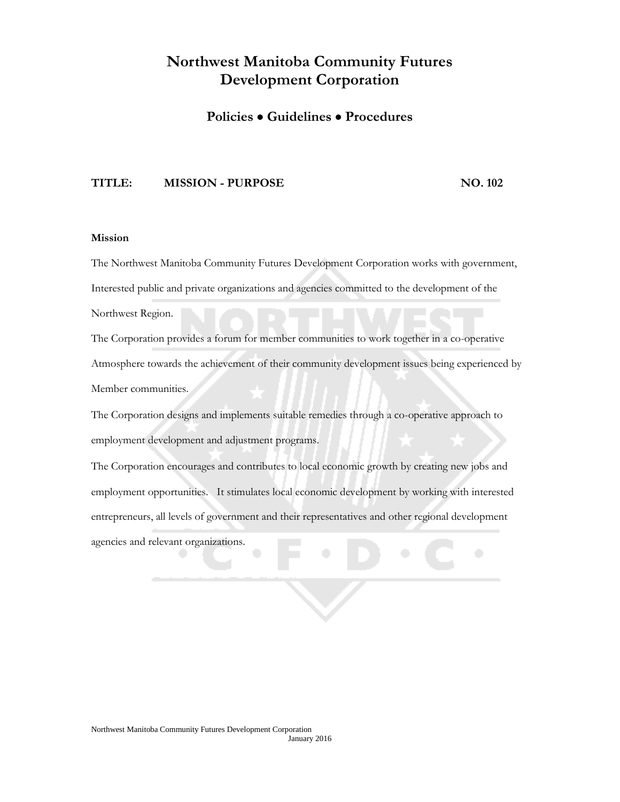### **Policies Guidelines Procedures**

#### **TITLE: MISSION - PURPOSE NO. 102**

#### **Mission**

The Northwest Manitoba Community Futures Development Corporation works with government, Interested public and private organizations and agencies committed to the development of the

Northwest Region.

The Corporation provides a forum for member communities to work together in a co-operative Atmosphere towards the achievement of their community development issues being experienced by Member communities.

The Corporation designs and implements suitable remedies through a co-operative approach to employment development and adjustment programs.

The Corporation encourages and contributes to local economic growth by creating new jobs and employment opportunities. It stimulates local economic development by working with interested entrepreneurs, all levels of government and their representatives and other regional development agencies and relevant organizations.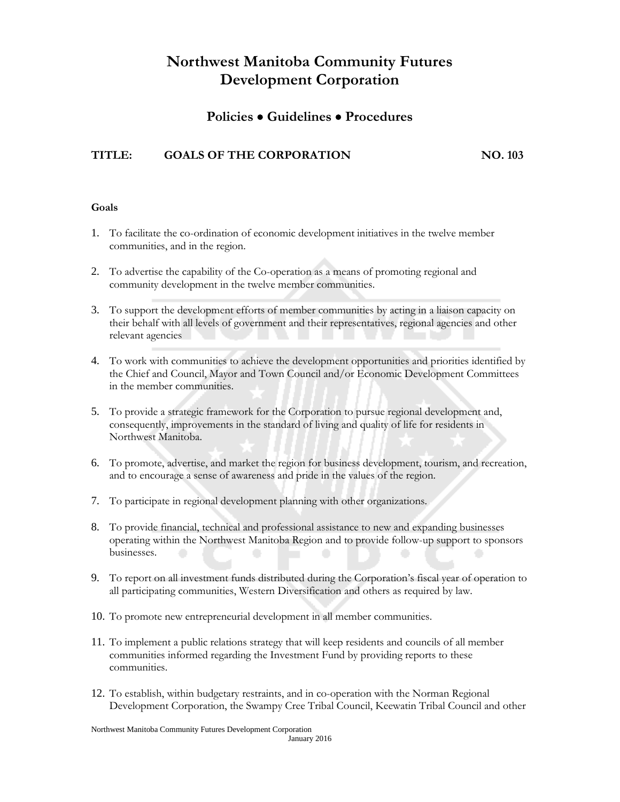### **Policies Guidelines Procedures**

### **TITLE: GOALS OF THE CORPORATION NO. 103**

#### **Goals**

- 1. To facilitate the co-ordination of economic development initiatives in the twelve member communities, and in the region.
- 2. To advertise the capability of the Co-operation as a means of promoting regional and community development in the twelve member communities.
- 3. To support the development efforts of member communities by acting in a liaison capacity on their behalf with all levels of government and their representatives, regional agencies and other relevant agencies
- 4. To work with communities to achieve the development opportunities and priorities identified by the Chief and Council, Mayor and Town Council and/or Economic Development Committees in the member communities.
- 5. To provide a strategic framework for the Corporation to pursue regional development and, consequently, improvements in the standard of living and quality of life for residents in Northwest Manitoba.
- 6. To promote, advertise, and market the region for business development, tourism, and recreation, and to encourage a sense of awareness and pride in the values of the region.
- 7. To participate in regional development planning with other organizations.
- 8. To provide financial, technical and professional assistance to new and expanding businesses operating within the Northwest Manitoba Region and to provide follow-up support to sponsors businesses.
- 9. To report on all investment funds distributed during the Corporation's fiscal year of operation to all participating communities, Western Diversification and others as required by law.
- 10. To promote new entrepreneurial development in all member communities.
- 11. To implement a public relations strategy that will keep residents and councils of all member communities informed regarding the Investment Fund by providing reports to these communities.
- 12. To establish, within budgetary restraints, and in co-operation with the Norman Regional Development Corporation, the Swampy Cree Tribal Council, Keewatin Tribal Council and other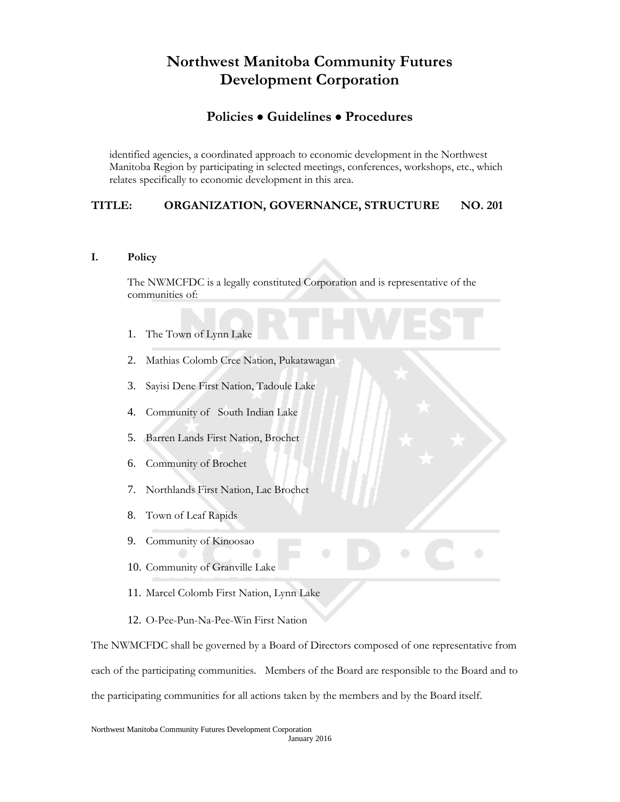### **Policies Guidelines Procedures**

identified agencies, a coordinated approach to economic development in the Northwest Manitoba Region by participating in selected meetings, conferences, workshops, etc., which relates specifically to economic development in this area.

#### **TITLE: ORGANIZATION, GOVERNANCE, STRUCTURE NO. 201**

#### **I. Policy**

The NWMCFDC is a legally constituted Corporation and is representative of the communities of:

- 1. The Town of Lynn Lake
- 2. Mathias Colomb Cree Nation, Pukatawagan
- 3. Sayisi Dene First Nation, Tadoule Lake
- 4. Community of South Indian Lake
- 5. Barren Lands First Nation, Brochet
- 6. Community of Brochet
- 7. Northlands First Nation, Lac Brochet
- 8. Town of Leaf Rapids
- 9. Community of Kinoosao
- 10. Community of Granville Lake
- 11. Marcel Colomb First Nation, Lynn Lake
- 12. O-Pee-Pun-Na-Pee-Win First Nation

The NWMCFDC shall be governed by a Board of Directors composed of one representative from each of the participating communities. Members of the Board are responsible to the Board and to the participating communities for all actions taken by the members and by the Board itself.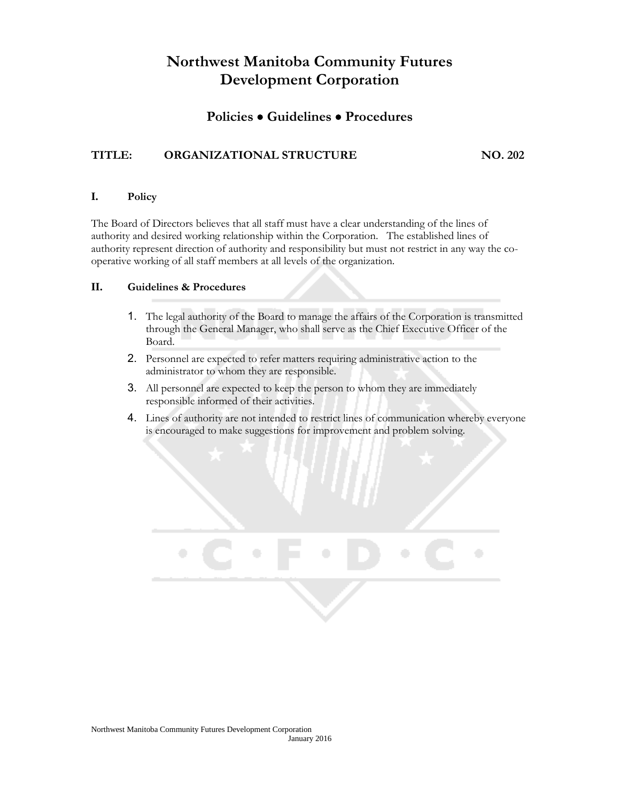### **Policies Guidelines Procedures**

### **TITLE: ORGANIZATIONAL STRUCTURE NO. 202**

#### **I. Policy**

The Board of Directors believes that all staff must have a clear understanding of the lines of authority and desired working relationship within the Corporation. The established lines of authority represent direction of authority and responsibility but must not restrict in any way the cooperative working of all staff members at all levels of the organization.

#### **II. Guidelines & Procedures**

- 1. The legal authority of the Board to manage the affairs of the Corporation is transmitted through the General Manager, who shall serve as the Chief Executive Officer of the Board.
- 2. Personnel are expected to refer matters requiring administrative action to the administrator to whom they are responsible.
- 3. All personnel are expected to keep the person to whom they are immediately responsible informed of their activities.
- 4. Lines of authority are not intended to restrict lines of communication whereby everyone is encouraged to make suggestions for improvement and problem solving.

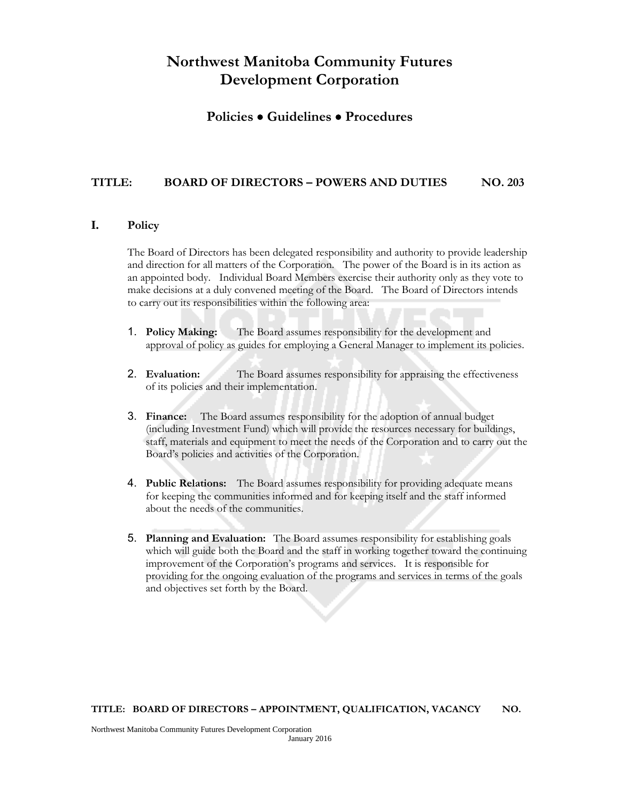### **Policies Guidelines Procedures**

#### **TITLE: BOARD OF DIRECTORS – POWERS AND DUTIES NO. 203**

#### **I. Policy**

The Board of Directors has been delegated responsibility and authority to provide leadership and direction for all matters of the Corporation. The power of the Board is in its action as an appointed body. Individual Board Members exercise their authority only as they vote to make decisions at a duly convened meeting of the Board. The Board of Directors intends to carry out its responsibilities within the following area:

- 1. **Policy Making:** The Board assumes responsibility for the development and approval of policy as guides for employing a General Manager to implement its policies.
- 2. **Evaluation:** The Board assumes responsibility for appraising the effectiveness of its policies and their implementation.
- 3. **Finance:** The Board assumes responsibility for the adoption of annual budget (including Investment Fund) which will provide the resources necessary for buildings, staff, materials and equipment to meet the needs of the Corporation and to carry out the Board's policies and activities of the Corporation.
- 4. **Public Relations:** The Board assumes responsibility for providing adequate means for keeping the communities informed and for keeping itself and the staff informed about the needs of the communities.
- 5. **Planning and Evaluation:** The Board assumes responsibility for establishing goals which will guide both the Board and the staff in working together toward the continuing improvement of the Corporation's programs and services. It is responsible for providing for the ongoing evaluation of the programs and services in terms of the goals and objectives set forth by the Board.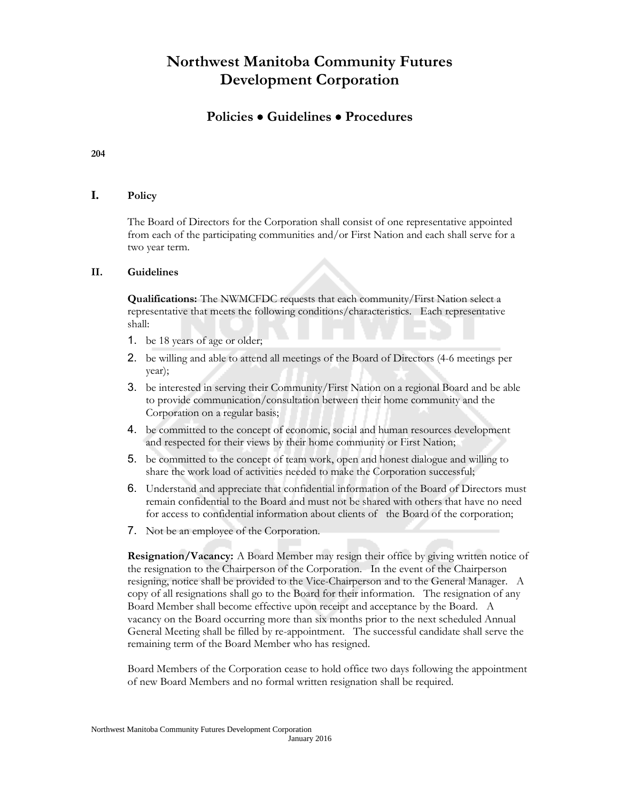### **Policies Guidelines Procedures**

**204**

#### **I. Policy**

The Board of Directors for the Corporation shall consist of one representative appointed from each of the participating communities and/or First Nation and each shall serve for a two year term.

#### **II. Guidelines**

**Qualifications:** The NWMCFDC requests that each community/First Nation select a representative that meets the following conditions/characteristics. Each representative shall:

- 1. be 18 years of age or older;
- 2. be willing and able to attend all meetings of the Board of Directors (4-6 meetings per year);
- 3. be interested in serving their Community/First Nation on a regional Board and be able to provide communication/consultation between their home community and the Corporation on a regular basis;
- 4. be committed to the concept of economic, social and human resources development and respected for their views by their home community or First Nation;
- 5. be committed to the concept of team work, open and honest dialogue and willing to share the work load of activities needed to make the Corporation successful;
- 6. Understand and appreciate that confidential information of the Board of Directors must remain confidential to the Board and must not be shared with others that have no need for access to confidential information about clients of the Board of the corporation;
- 7. Not be an employee of the Corporation.

**Resignation/Vacancy:** A Board Member may resign their office by giving written notice of the resignation to the Chairperson of the Corporation. In the event of the Chairperson resigning, notice shall be provided to the Vice-Chairperson and to the General Manager. A copy of all resignations shall go to the Board for their information. The resignation of any Board Member shall become effective upon receipt and acceptance by the Board. A vacancy on the Board occurring more than six months prior to the next scheduled Annual General Meeting shall be filled by re-appointment. The successful candidate shall serve the remaining term of the Board Member who has resigned.

Board Members of the Corporation cease to hold office two days following the appointment of new Board Members and no formal written resignation shall be required.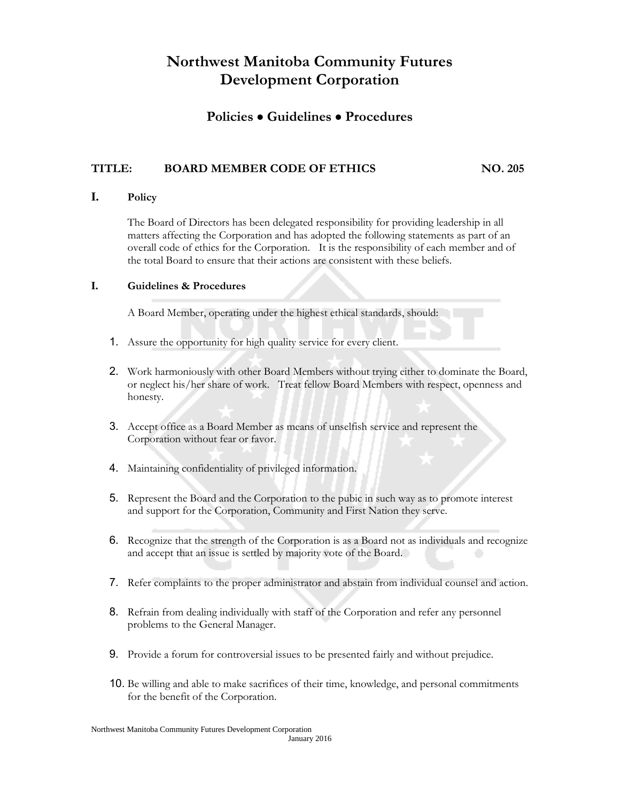### **Policies Guidelines Procedures**

### **TITLE: BOARD MEMBER CODE OF ETHICS NO. 205**

### **I. Policy**

The Board of Directors has been delegated responsibility for providing leadership in all matters affecting the Corporation and has adopted the following statements as part of an overall code of ethics for the Corporation. It is the responsibility of each member and of the total Board to ensure that their actions are consistent with these beliefs.

#### **I. Guidelines & Procedures**

A Board Member, operating under the highest ethical standards, should:

- 1. Assure the opportunity for high quality service for every client.
- 2. Work harmoniously with other Board Members without trying either to dominate the Board, or neglect his/her share of work. Treat fellow Board Members with respect, openness and honesty.
- 3. Accept office as a Board Member as means of unselfish service and represent the Corporation without fear or favor.
- 4. Maintaining confidentiality of privileged information.
- 5. Represent the Board and the Corporation to the pubic in such way as to promote interest and support for the Corporation, Community and First Nation they serve.
- 6. Recognize that the strength of the Corporation is as a Board not as individuals and recognize and accept that an issue is settled by majority vote of the Board.
- 7. Refer complaints to the proper administrator and abstain from individual counsel and action.
- 8. Refrain from dealing individually with staff of the Corporation and refer any personnel problems to the General Manager.
- 9. Provide a forum for controversial issues to be presented fairly and without prejudice.
- 10. Be willing and able to make sacrifices of their time, knowledge, and personal commitments for the benefit of the Corporation.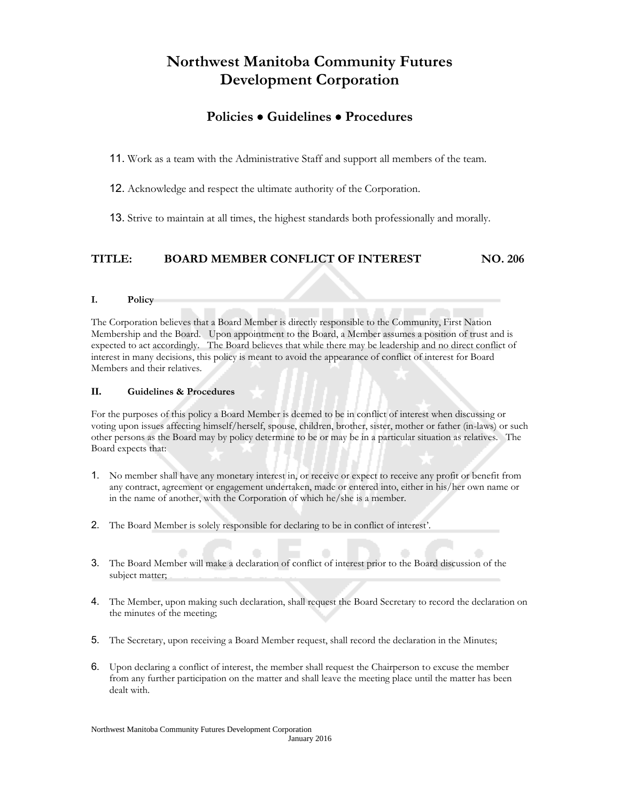### **Policies Guidelines Procedures**

11. Work as a team with the Administrative Staff and support all members of the team.

12. Acknowledge and respect the ultimate authority of the Corporation.

13. Strive to maintain at all times, the highest standards both professionally and morally.

#### **TITLE: BOARD MEMBER CONFLICT OF INTEREST NO. 206**

#### **I. Policy**

The Corporation believes that a Board Member is directly responsible to the Community, First Nation Membership and the Board. Upon appointment to the Board, a Member assumes a position of trust and is expected to act accordingly. The Board believes that while there may be leadership and no direct conflict of interest in many decisions, this policy is meant to avoid the appearance of conflict of interest for Board Members and their relatives.

#### **II. Guidelines & Procedures**

For the purposes of this policy a Board Member is deemed to be in conflict of interest when discussing or voting upon issues affecting himself/herself, spouse, children, brother, sister, mother or father (in-laws) or such other persons as the Board may by policy determine to be or may be in a particular situation as relatives. The Board expects that:

- 1. No member shall have any monetary interest in, or receive or expect to receive any profit or benefit from any contract, agreement or engagement undertaken, made or entered into, either in his/her own name or in the name of another, with the Corporation of which he/she is a member.
- 2. The Board Member is solely responsible for declaring to be in conflict of interest'.
- 3. The Board Member will make a declaration of conflict of interest prior to the Board discussion of the subject matter;
- 4. The Member, upon making such declaration, shall request the Board Secretary to record the declaration on the minutes of the meeting;
- 5. The Secretary, upon receiving a Board Member request, shall record the declaration in the Minutes;
- 6. Upon declaring a conflict of interest, the member shall request the Chairperson to excuse the member from any further participation on the matter and shall leave the meeting place until the matter has been dealt with.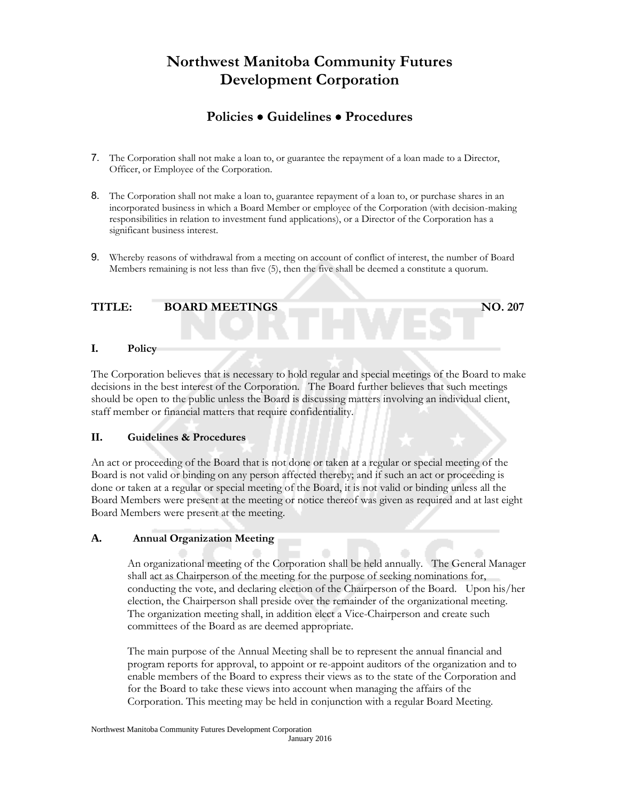# **Policies Guidelines Procedures**

- 7. The Corporation shall not make a loan to, or guarantee the repayment of a loan made to a Director, Officer, or Employee of the Corporation.
- 8. The Corporation shall not make a loan to, guarantee repayment of a loan to, or purchase shares in an incorporated business in which a Board Member or employee of the Corporation (with decision-making responsibilities in relation to investment fund applications), or a Director of the Corporation has a significant business interest.
- 9. Whereby reasons of withdrawal from a meeting on account of conflict of interest, the number of Board Members remaining is not less than five (5), then the five shall be deemed a constitute a quorum.

#### **TITLE: BOARD MEETINGS NO. 207**

#### **I. Policy**

The Corporation believes that is necessary to hold regular and special meetings of the Board to make decisions in the best interest of the Corporation. The Board further believes that such meetings should be open to the public unless the Board is discussing matters involving an individual client, staff member or financial matters that require confidentiality.

#### **II. Guidelines & Procedures**

An act or proceeding of the Board that is not done or taken at a regular or special meeting of the Board is not valid or binding on any person affected thereby; and if such an act or proceeding is done or taken at a regular or special meeting of the Board, it is not valid or binding unless all the Board Members were present at the meeting or notice thereof was given as required and at last eight Board Members were present at the meeting.

#### **A. Annual Organization Meeting**

An organizational meeting of the Corporation shall be held annually. The General Manager shall act as Chairperson of the meeting for the purpose of seeking nominations for, conducting the vote, and declaring election of the Chairperson of the Board. Upon his/her election, the Chairperson shall preside over the remainder of the organizational meeting. The organization meeting shall, in addition elect a Vice-Chairperson and create such committees of the Board as are deemed appropriate.

The main purpose of the Annual Meeting shall be to represent the annual financial and program reports for approval, to appoint or re-appoint auditors of the organization and to enable members of the Board to express their views as to the state of the Corporation and for the Board to take these views into account when managing the affairs of the Corporation. This meeting may be held in conjunction with a regular Board Meeting.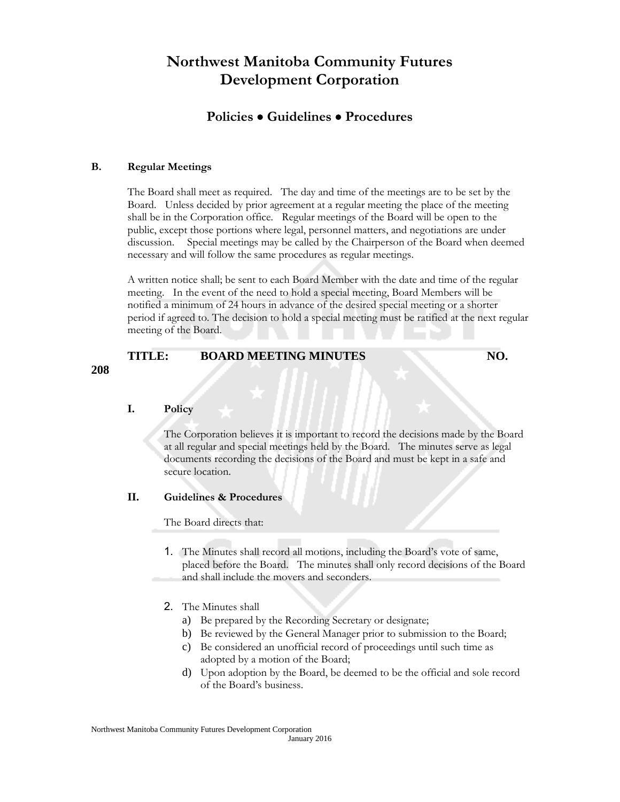### **Policies Guidelines Procedures**

#### **B. Regular Meetings**

The Board shall meet as required. The day and time of the meetings are to be set by the Board. Unless decided by prior agreement at a regular meeting the place of the meeting shall be in the Corporation office. Regular meetings of the Board will be open to the public, except those portions where legal, personnel matters, and negotiations are under discussion. Special meetings may be called by the Chairperson of the Board when deemed necessary and will follow the same procedures as regular meetings.

A written notice shall; be sent to each Board Member with the date and time of the regular meeting. In the event of the need to hold a special meeting, Board Members will be notified a minimum of 24 hours in advance of the desired special meeting or a shorter period if agreed to. The decision to hold a special meeting must be ratified at the next regular meeting of the Board.

| TITLE: | <b>BOARD MEETING MINUTES</b> | NO. |
|--------|------------------------------|-----|
|        |                              |     |

# **I. Policy**

**208**

The Corporation believes it is important to record the decisions made by the Board at all regular and special meetings held by the Board. The minutes serve as legal documents recording the decisions of the Board and must be kept in a safe and secure location.

#### **II. Guidelines & Procedures**

The Board directs that:

- 1. The Minutes shall record all motions, including the Board's vote of same, placed before the Board. The minutes shall only record decisions of the Board and shall include the movers and seconders.
- 2. The Minutes shall
	- a) Be prepared by the Recording Secretary or designate;
	- b) Be reviewed by the General Manager prior to submission to the Board;
	- c) Be considered an unofficial record of proceedings until such time as adopted by a motion of the Board;
	- d) Upon adoption by the Board, be deemed to be the official and sole record of the Board's business.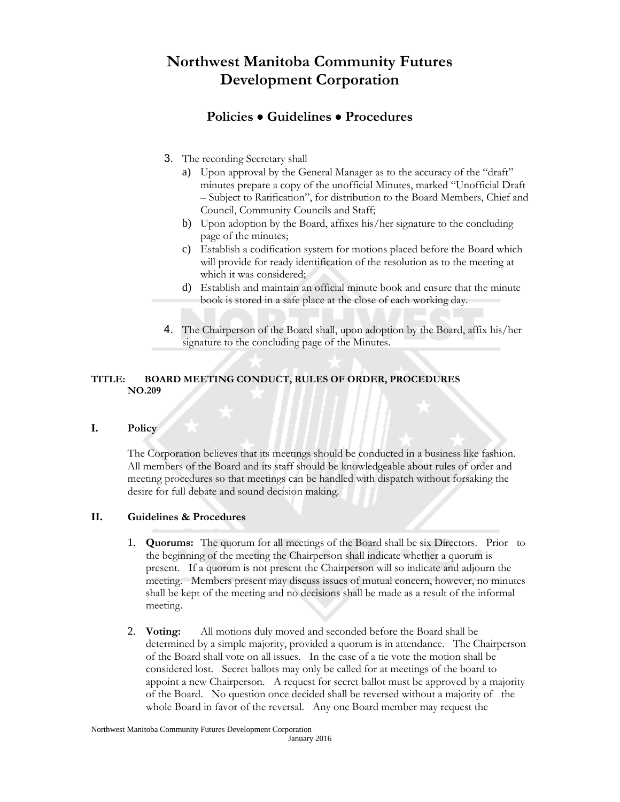## **Policies Guidelines Procedures**

- 3. The recording Secretary shall
	- a) Upon approval by the General Manager as to the accuracy of the "draft" minutes prepare a copy of the unofficial Minutes, marked "Unofficial Draft – Subject to Ratification", for distribution to the Board Members, Chief and Council, Community Councils and Staff;
	- b) Upon adoption by the Board, affixes his/her signature to the concluding page of the minutes;
	- c) Establish a codification system for motions placed before the Board which will provide for ready identification of the resolution as to the meeting at which it was considered;
	- d) Establish and maintain an official minute book and ensure that the minute book is stored in a safe place at the close of each working day.
- 4. The Chairperson of the Board shall, upon adoption by the Board, affix his/her signature to the concluding page of the Minutes.

#### **TITLE: BOARD MEETING CONDUCT, RULES OF ORDER, PROCEDURES NO.209**

#### **I. Policy**

The Corporation believes that its meetings should be conducted in a business like fashion. All members of the Board and its staff should be knowledgeable about rules of order and meeting procedures so that meetings can be handled with dispatch without forsaking the desire for full debate and sound decision making.

#### **II. Guidelines & Procedures**

- 1. **Quorums:** The quorum for all meetings of the Board shall be six Directors. Prior to the beginning of the meeting the Chairperson shall indicate whether a quorum is present. If a quorum is not present the Chairperson will so indicate and adjourn the meeting. Members present may discuss issues of mutual concern, however, no minutes shall be kept of the meeting and no decisions shall be made as a result of the informal meeting.
- 2. **Voting:** All motions duly moved and seconded before the Board shall be determined by a simple majority, provided a quorum is in attendance. The Chairperson of the Board shall vote on all issues. In the case of a tie vote the motion shall be considered lost. Secret ballots may only be called for at meetings of the board to appoint a new Chairperson. A request for secret ballot must be approved by a majority of the Board. No question once decided shall be reversed without a majority of the whole Board in favor of the reversal. Any one Board member may request the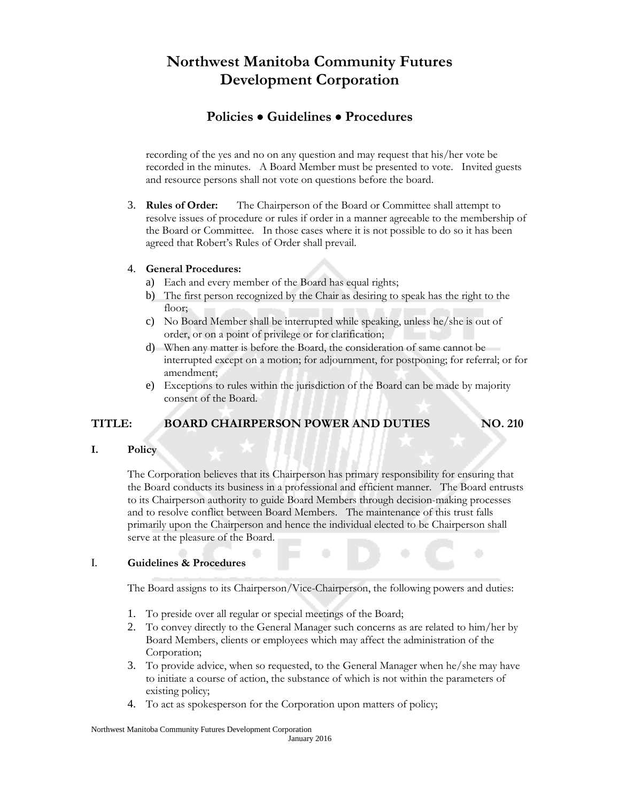## **Policies Guidelines Procedures**

recording of the yes and no on any question and may request that his/her vote be recorded in the minutes. A Board Member must be presented to vote. Invited guests and resource persons shall not vote on questions before the board.

3. **Rules of Order:** The Chairperson of the Board or Committee shall attempt to resolve issues of procedure or rules if order in a manner agreeable to the membership of the Board or Committee. In those cases where it is not possible to do so it has been agreed that Robert's Rules of Order shall prevail.

#### 4. **General Procedures:**

- a) Each and every member of the Board has equal rights;
- b) The first person recognized by the Chair as desiring to speak has the right to the floor:
- c) No Board Member shall be interrupted while speaking, unless he/she is out of order, or on a point of privilege or for clarification;
- d) When any matter is before the Board, the consideration of same cannot be interrupted except on a motion; for adjournment, for postponing; for referral; or for amendment;
- e) Exceptions to rules within the jurisdiction of the Board can be made by majority consent of the Board.

#### **TITLE: BOARD CHAIRPERSON POWER AND DUTIES NO. 210**

#### **I. Policy**

The Corporation believes that its Chairperson has primary responsibility for ensuring that the Board conducts its business in a professional and efficient manner. The Board entrusts to its Chairperson authority to guide Board Members through decision-making processes and to resolve conflict between Board Members. The maintenance of this trust falls primarily upon the Chairperson and hence the individual elected to be Chairperson shall serve at the pleasure of the Board.

#### I. **Guidelines & Procedures**

The Board assigns to its Chairperson/Vice-Chairperson, the following powers and duties:

- 1. To preside over all regular or special meetings of the Board;
- 2. To convey directly to the General Manager such concerns as are related to him/her by Board Members, clients or employees which may affect the administration of the Corporation;
- 3. To provide advice, when so requested, to the General Manager when he/she may have to initiate a course of action, the substance of which is not within the parameters of existing policy;
- 4. To act as spokesperson for the Corporation upon matters of policy;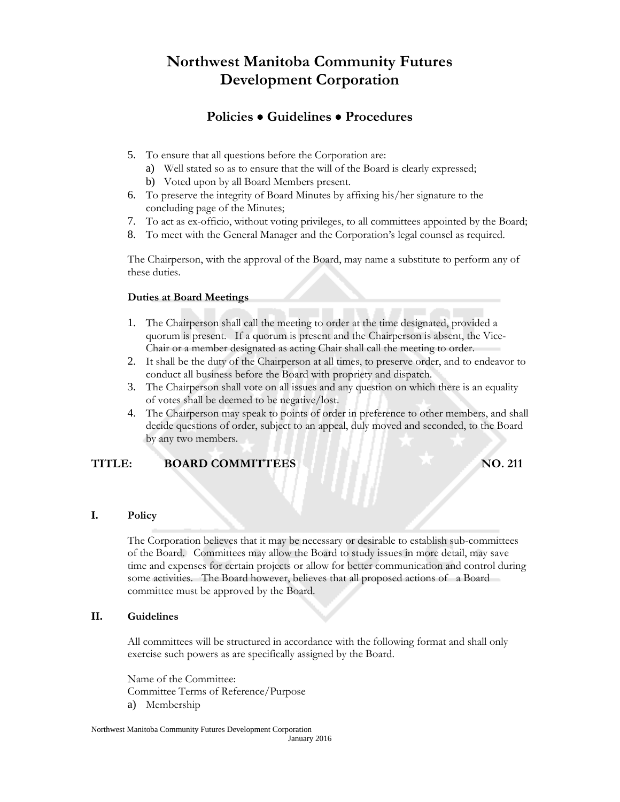## **Policies Guidelines Procedures**

- 5. To ensure that all questions before the Corporation are:
	- a) Well stated so as to ensure that the will of the Board is clearly expressed;
	- b) Voted upon by all Board Members present.
- 6. To preserve the integrity of Board Minutes by affixing his/her signature to the concluding page of the Minutes;
- 7. To act as ex-officio, without voting privileges, to all committees appointed by the Board;
- 8. To meet with the General Manager and the Corporation's legal counsel as required.

The Chairperson, with the approval of the Board, may name a substitute to perform any of these duties.

#### **Duties at Board Meetings**

- 1. The Chairperson shall call the meeting to order at the time designated, provided a quorum is present. If a quorum is present and the Chairperson is absent, the Vice-Chair or a member designated as acting Chair shall call the meeting to order.
- 2. It shall be the duty of the Chairperson at all times, to preserve order, and to endeavor to conduct all business before the Board with propriety and dispatch.
- 3. The Chairperson shall vote on all issues and any question on which there is an equality of votes shall be deemed to be negative/lost.
- 4. The Chairperson may speak to points of order in preference to other members, and shall decide questions of order, subject to an appeal, duly moved and seconded, to the Board by any two members.

#### **TITLE: BOARD COMMITTEES NO.** 211

#### **I. Policy**

The Corporation believes that it may be necessary or desirable to establish sub-committees of the Board. Committees may allow the Board to study issues in more detail, may save time and expenses for certain projects or allow for better communication and control during some activities. The Board however, believes that all proposed actions of a Board committee must be approved by the Board.

#### **II. Guidelines**

All committees will be structured in accordance with the following format and shall only exercise such powers as are specifically assigned by the Board.

Name of the Committee: Committee Terms of Reference/Purpose a) Membership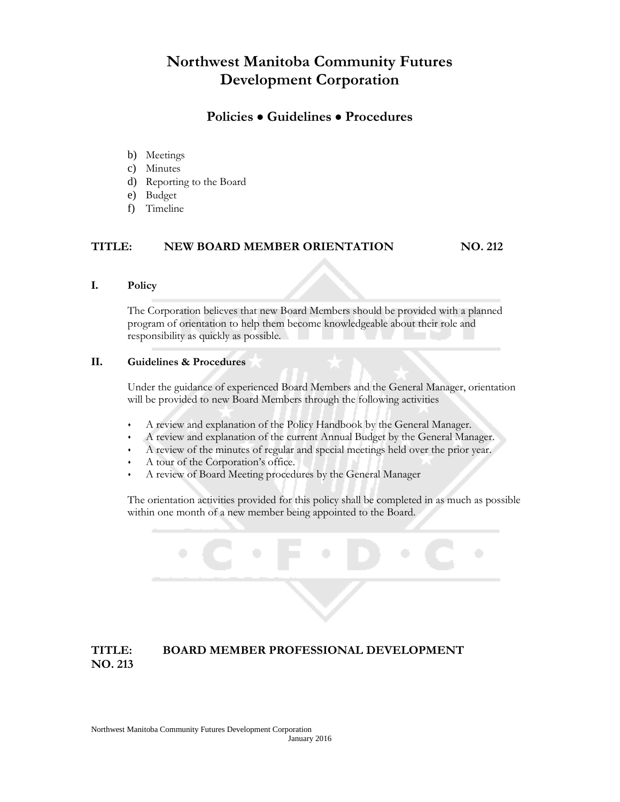### **Policies Guidelines Procedures**

- b) Meetings
- c) Minutes
- d) Reporting to the Board
- e) Budget
- f) Timeline

#### **TITLE: NEW BOARD MEMBER ORIENTATION NO. 212**

#### **I. Policy**

The Corporation believes that new Board Members should be provided with a planned program of orientation to help them become knowledgeable about their role and responsibility as quickly as possible.

#### **II. Guidelines & Procedures**

Under the guidance of experienced Board Members and the General Manager, orientation will be provided to new Board Members through the following activities

- A review and explanation of the Policy Handbook by the General Manager.
- A review and explanation of the current Annual Budget by the General Manager.
- A review of the minutes of regular and special meetings held over the prior year.
- A tour of the Corporation's office.
- A review of Board Meeting procedures by the General Manager

The orientation activities provided for this policy shall be completed in as much as possible within one month of a new member being appointed to the Board.

### **TITLE: BOARD MEMBER PROFESSIONAL DEVELOPMENT NO. 213**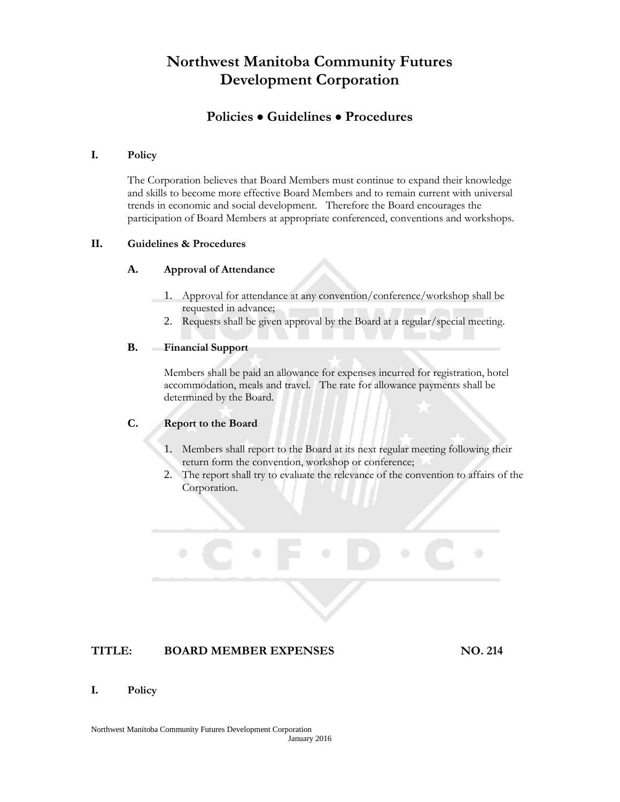### **Policies Guidelines Procedures**

#### **I. Policy**

The Corporation believes that Board Members must continue to expand their knowledge and skills to become more effective Board Members and to remain current with universal trends in economic and social development. Therefore the Board encourages the participation of Board Members at appropriate conferenced, conventions and workshops.

#### **II. Guidelines & Procedures**

#### **A. Approval of Attendance**

- 1. Approval for attendance at any convention/conference/workshop shall be requested in advance;
- 2. Requests shall be given approval by the Board at a regular/special meeting.

#### **B. Financial Support**

Members shall be paid an allowance for expenses incurred for registration, hotel accommodation, meals and travel. The rate for allowance payments shall be determined by the Board.

#### **C. Report to the Board**

- 1. Members shall report to the Board at its next regular meeting following their return form the convention, workshop or conference;
- 2. The report shall try to evaluate the relevance of the convention to affairs of the Corporation.

#### **TITLE: BOARD MEMBER EXPENSES NO. 214**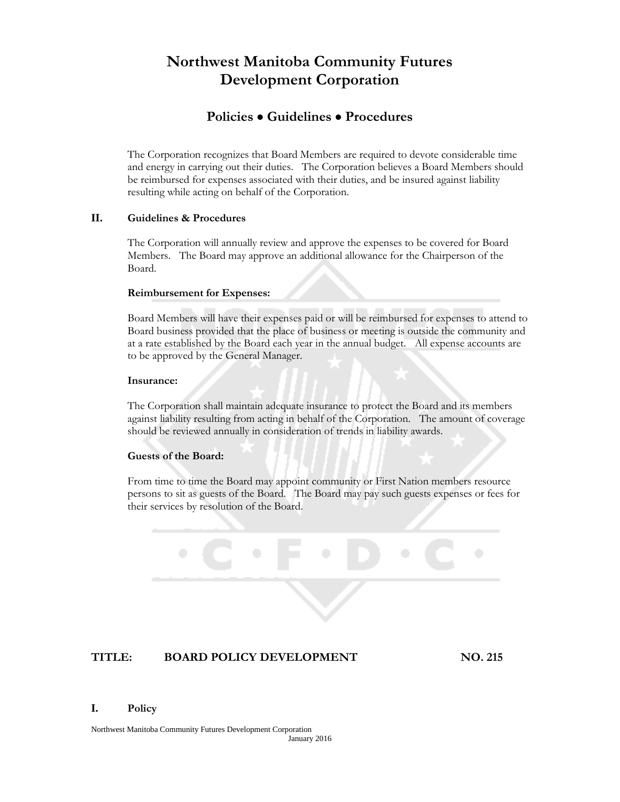### **Policies Guidelines Procedures**

The Corporation recognizes that Board Members are required to devote considerable time and energy in carrying out their duties. The Corporation believes a Board Members should be reimbursed for expenses associated with their duties, and be insured against liability resulting while acting on behalf of the Corporation.

#### **II. Guidelines & Procedures**

The Corporation will annually review and approve the expenses to be covered for Board Members. The Board may approve an additional allowance for the Chairperson of the Board.

#### **Reimbursement for Expenses:**

Board Members will have their expenses paid or will be reimbursed for expenses to attend to Board business provided that the place of business or meeting is outside the community and at a rate established by the Board each year in the annual budget. All expense accounts are to be approved by the General Manager.

#### **Insurance:**

The Corporation shall maintain adequate insurance to protect the Board and its members against liability resulting from acting in behalf of the Corporation. The amount of coverage should be reviewed annually in consideration of trends in liability awards.

#### **Guests of the Board:**

From time to time the Board may appoint community or First Nation members resource persons to sit as guests of the Board. The Board may pay such guests expenses or fees for their services by resolution of the Board.

#### **TITLE: BOARD POLICY DEVELOPMENT NO. 215**

#### **I. Policy**

Northwest Manitoba Community Futures Development Corporation January 2016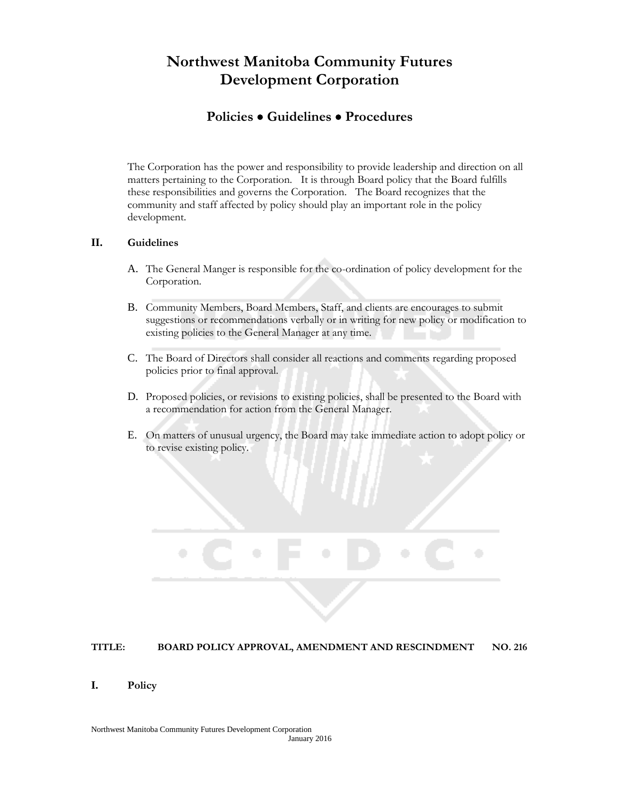### **Policies Guidelines Procedures**

The Corporation has the power and responsibility to provide leadership and direction on all matters pertaining to the Corporation. It is through Board policy that the Board fulfills these responsibilities and governs the Corporation. The Board recognizes that the community and staff affected by policy should play an important role in the policy development.

#### **II. Guidelines**

- A. The General Manger is responsible for the co-ordination of policy development for the Corporation.
- B. Community Members, Board Members, Staff, and clients are encourages to submit suggestions or recommendations verbally or in writing for new policy or modification to existing policies to the General Manager at any time.
- C. The Board of Directors shall consider all reactions and comments regarding proposed policies prior to final approval.
- D. Proposed policies, or revisions to existing policies, shall be presented to the Board with a recommendation for action from the General Manager.
- E. On matters of unusual urgency, the Board may take immediate action to adopt policy or to revise existing policy.

#### **TITLE: BOARD POLICY APPROVAL, AMENDMENT AND RESCINDMENT NO. 216**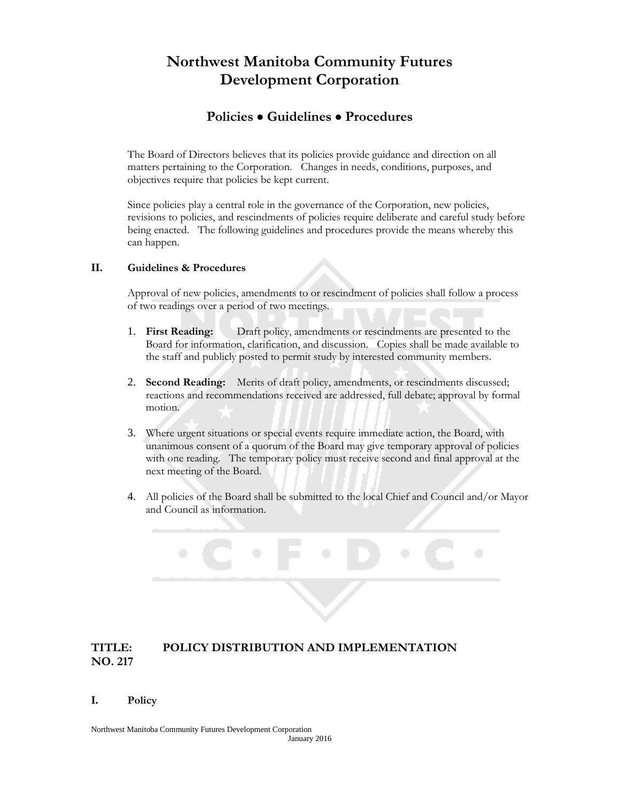### **Policies Guidelines Procedures**

The Board of Directors believes that its policies provide guidance and direction on all matters pertaining to the Corporation. Changes in needs, conditions, purposes, and objectives require that policies be kept current.

Since policies play a central role in the governance of the Corporation, new policies, revisions to policies, and rescindments of policies require deliberate and careful study before being enacted. The following guidelines and procedures provide the means whereby this can happen.

#### **II. Guidelines & Procedures**

Approval of new policies, amendments to or rescindment of policies shall follow a process of two readings over a period of two meetings.

- 1. **First Reading:** Draft policy, amendments or rescindments are presented to the Board for information, clarification, and discussion. Copies shall be made available to the staff and publicly posted to permit study by interested community members.
- 2. **Second Reading:** Merits of draft policy, amendments, or rescindments discussed; reactions and recommendations received are addressed, full debate; approval by formal motion.
- 3. Where urgent situations or special events require immediate action, the Board, with unanimous consent of a quorum of the Board may give temporary approval of policies with one reading. The temporary policy must receive second and final approval at the next meeting of the Board.
- 4. All policies of the Board shall be submitted to the local Chief and Council and/or Mayor and Council as information.

#### **TITLE: POLICY DISTRIBUTION AND IMPLEMENTATION NO. 217**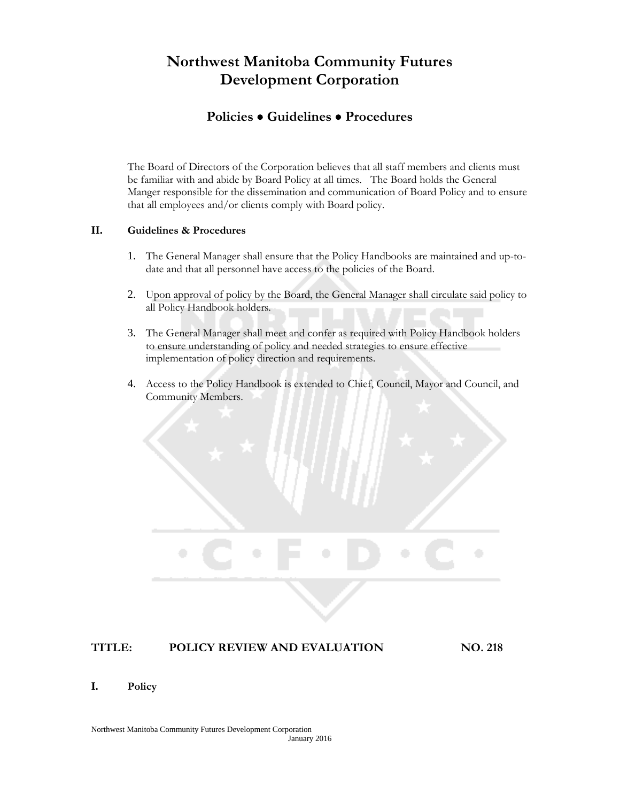### **Policies Guidelines Procedures**

The Board of Directors of the Corporation believes that all staff members and clients must be familiar with and abide by Board Policy at all times. The Board holds the General Manger responsible for the dissemination and communication of Board Policy and to ensure that all employees and/or clients comply with Board policy.

#### **II. Guidelines & Procedures**

- 1. The General Manager shall ensure that the Policy Handbooks are maintained and up-todate and that all personnel have access to the policies of the Board.
- 2. Upon approval of policy by the Board, the General Manager shall circulate said policy to all Policy Handbook holders.
- 3. The General Manager shall meet and confer as required with Policy Handbook holders to ensure understanding of policy and needed strategies to ensure effective implementation of policy direction and requirements.
- 4. Access to the Policy Handbook is extended to Chief, Council, Mayor and Council, and Community Members.



#### **TITLE: POLICY REVIEW AND EVALUATION NO. 218**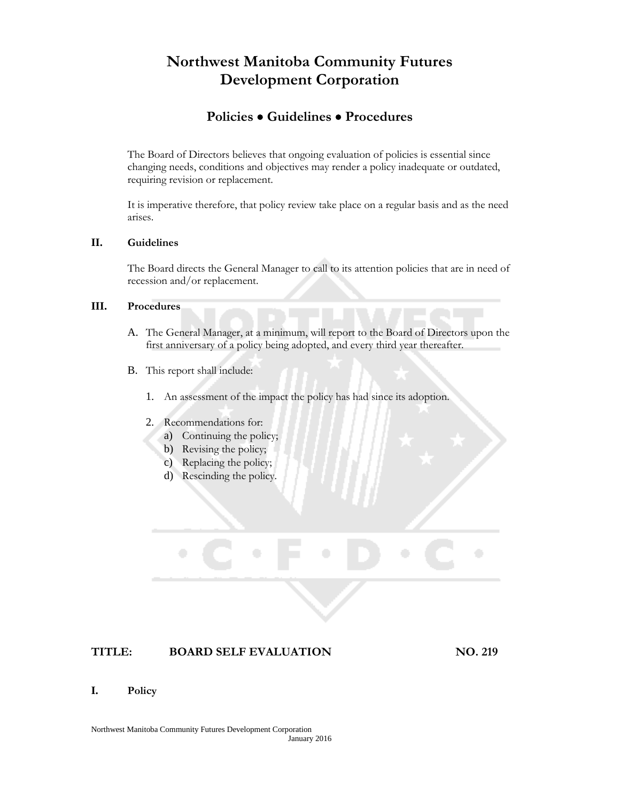### **Policies Guidelines Procedures**

The Board of Directors believes that ongoing evaluation of policies is essential since changing needs, conditions and objectives may render a policy inadequate or outdated, requiring revision or replacement.

It is imperative therefore, that policy review take place on a regular basis and as the need arises.

#### **II. Guidelines**

The Board directs the General Manager to call to its attention policies that are in need of recession and/or replacement.

#### **III. Procedures**

- A. The General Manager, at a minimum, will report to the Board of Directors upon the first anniversary of a policy being adopted, and every third year thereafter.
- B. This report shall include:
	- 1. An assessment of the impact the policy has had since its adoption.
	- 2. Recommendations for:
		- a) Continuing the policy;
		- b) Revising the policy;
		- c) Replacing the policy;
		- d) Rescinding the policy.

### **TITLE: BOARD SELF EVALUATION NO. 219**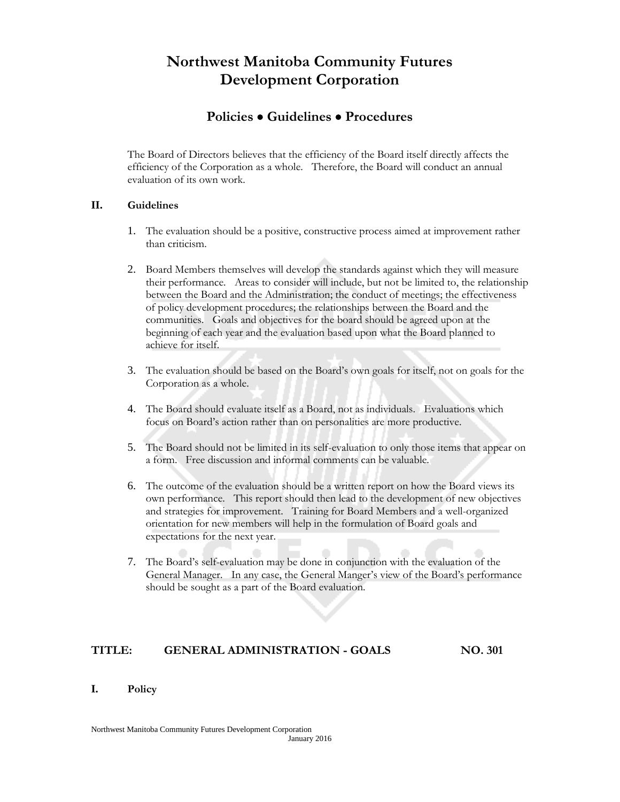### **Policies Guidelines Procedures**

The Board of Directors believes that the efficiency of the Board itself directly affects the efficiency of the Corporation as a whole. Therefore, the Board will conduct an annual evaluation of its own work.

#### **II. Guidelines**

- 1. The evaluation should be a positive, constructive process aimed at improvement rather than criticism.
- 2. Board Members themselves will develop the standards against which they will measure their performance. Areas to consider will include, but not be limited to, the relationship between the Board and the Administration; the conduct of meetings; the effectiveness of policy development procedures; the relationships between the Board and the communities. Goals and objectives for the board should be agreed upon at the beginning of each year and the evaluation based upon what the Board planned to achieve for itself.
- 3. The evaluation should be based on the Board's own goals for itself, not on goals for the Corporation as a whole.
- 4. The Board should evaluate itself as a Board, not as individuals. Evaluations which focus on Board's action rather than on personalities are more productive.
- 5. The Board should not be limited in its self-evaluation to only those items that appear on a form. Free discussion and informal comments can be valuable.
- 6. The outcome of the evaluation should be a written report on how the Board views its own performance. This report should then lead to the development of new objectives and strategies for improvement. Training for Board Members and a well-organized orientation for new members will help in the formulation of Board goals and expectations for the next year.
- 7. The Board's self-evaluation may be done in conjunction with the evaluation of the General Manager. In any case, the General Manger's view of the Board's performance should be sought as a part of the Board evaluation.

#### **TITLE: GENERAL ADMINISTRATION - GOALS NO. 301**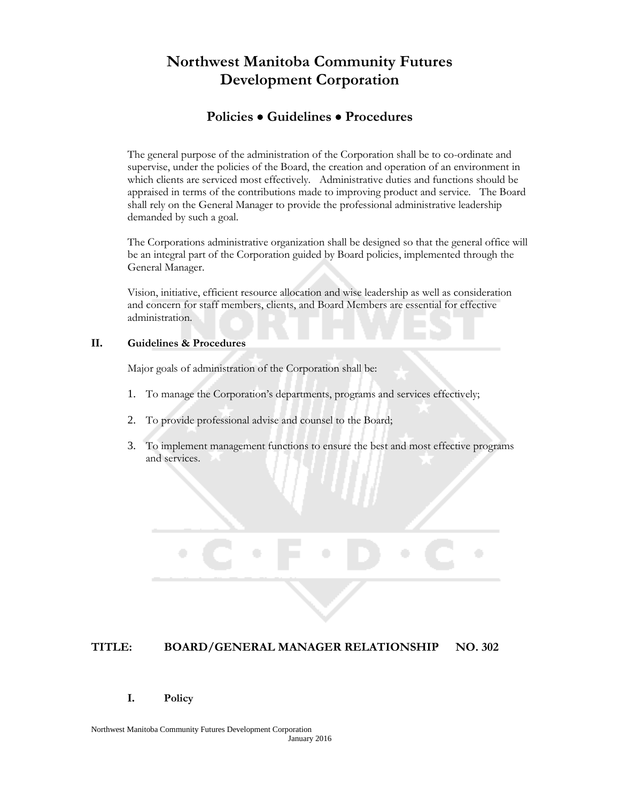### **Policies Guidelines Procedures**

The general purpose of the administration of the Corporation shall be to co-ordinate and supervise, under the policies of the Board, the creation and operation of an environment in which clients are serviced most effectively. Administrative duties and functions should be appraised in terms of the contributions made to improving product and service. The Board shall rely on the General Manager to provide the professional administrative leadership demanded by such a goal.

The Corporations administrative organization shall be designed so that the general office will be an integral part of the Corporation guided by Board policies, implemented through the General Manager.

Vision, initiative, efficient resource allocation and wise leadership as well as consideration and concern for staff members, clients, and Board Members are essential for effective administration.

#### **II. Guidelines & Procedures**

Major goals of administration of the Corporation shall be:

- 1. To manage the Corporation's departments, programs and services effectively;
- 2. To provide professional advise and counsel to the Board;
- 3. To implement management functions to ensure the best and most effective programs and services.

#### **TITLE: BOARD/GENERAL MANAGER RELATIONSHIP NO. 302**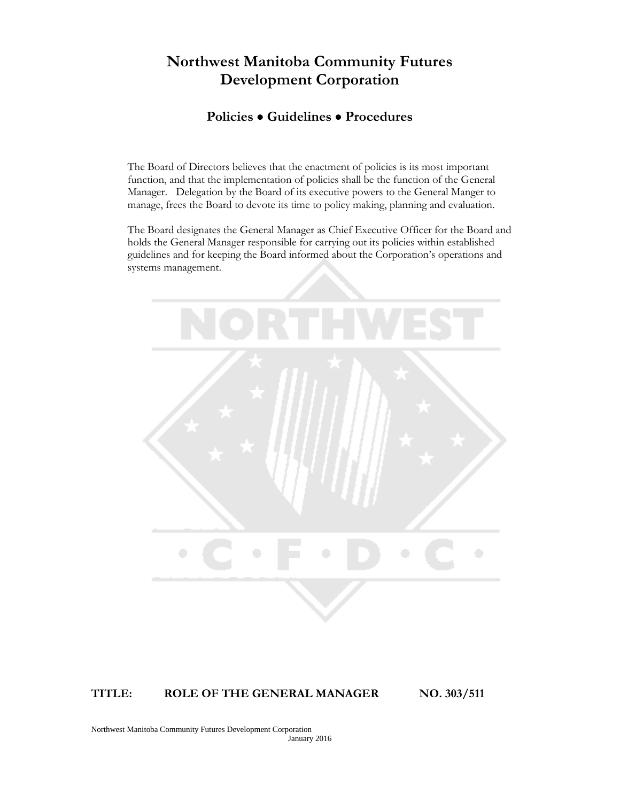### **Policies Guidelines Procedures**

The Board of Directors believes that the enactment of policies is its most important function, and that the implementation of policies shall be the function of the General Manager. Delegation by the Board of its executive powers to the General Manger to manage, frees the Board to devote its time to policy making, planning and evaluation.

The Board designates the General Manager as Chief Executive Officer for the Board and holds the General Manager responsible for carrying out its policies within established guidelines and for keeping the Board informed about the Corporation's operations and systems management.



#### **TITLE: ROLE OF THE GENERAL MANAGER NO. 303/511**

Northwest Manitoba Community Futures Development Corporation January 2016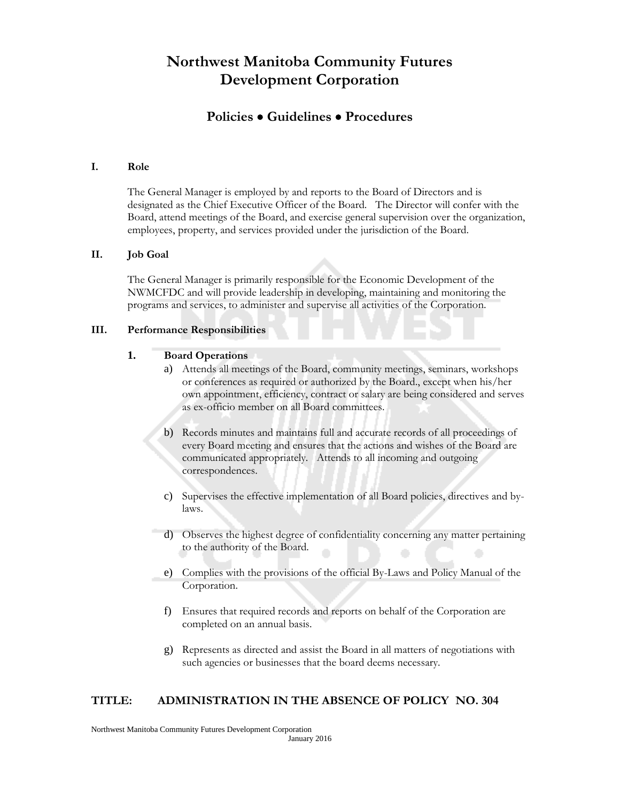### **Policies Guidelines Procedures**

#### **I. Role**

The General Manager is employed by and reports to the Board of Directors and is designated as the Chief Executive Officer of the Board. The Director will confer with the Board, attend meetings of the Board, and exercise general supervision over the organization, employees, property, and services provided under the jurisdiction of the Board.

#### **II. Job Goal**

The General Manager is primarily responsible for the Economic Development of the NWMCFDC and will provide leadership in developing, maintaining and monitoring the programs and services, to administer and supervise all activities of the Corporation.

#### **III. Performance Responsibilities**

#### **1. Board Operations**

- a) Attends all meetings of the Board, community meetings, seminars, workshops or conferences as required or authorized by the Board., except when his/her own appointment, efficiency, contract or salary are being considered and serves as ex-officio member on all Board committees.
- b) Records minutes and maintains full and accurate records of all proceedings of every Board meeting and ensures that the actions and wishes of the Board are communicated appropriately. Attends to all incoming and outgoing correspondences.
- c) Supervises the effective implementation of all Board policies, directives and bylaws.
- d) Observes the highest degree of confidentiality concerning any matter pertaining to the authority of the Board.
- e) Complies with the provisions of the official By-Laws and Policy Manual of the Corporation.
- f) Ensures that required records and reports on behalf of the Corporation are completed on an annual basis.
- g) Represents as directed and assist the Board in all matters of negotiations with such agencies or businesses that the board deems necessary.

#### **TITLE: ADMINISTRATION IN THE ABSENCE OF POLICY NO. 304**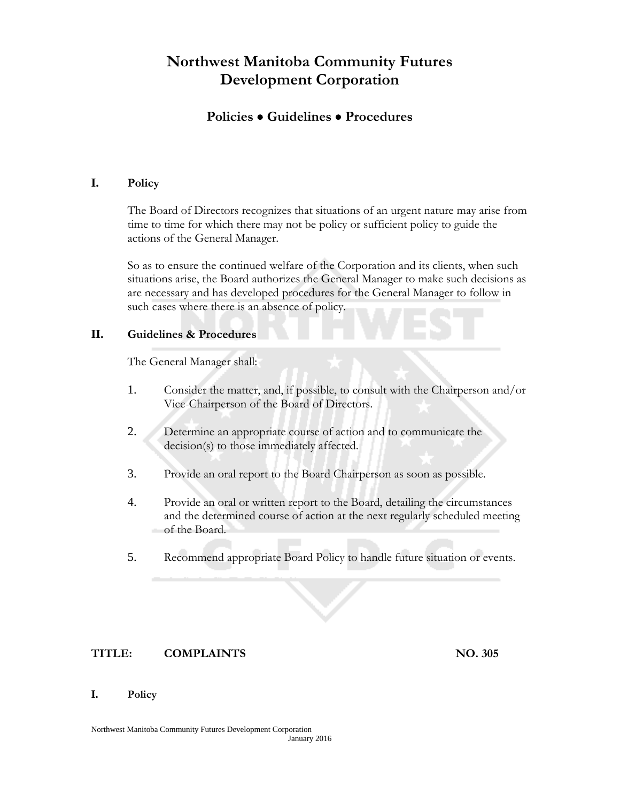### **Policies Guidelines Procedures**

### **I. Policy**

The Board of Directors recognizes that situations of an urgent nature may arise from time to time for which there may not be policy or sufficient policy to guide the actions of the General Manager.

So as to ensure the continued welfare of the Corporation and its clients, when such situations arise, the Board authorizes the General Manager to make such decisions as are necessary and has developed procedures for the General Manager to follow in such cases where there is an absence of policy.

#### **II. Guidelines & Procedures**

The General Manager shall:

- 1. Consider the matter, and, if possible, to consult with the Chairperson and/or Vice-Chairperson of the Board of Directors.
- 2. Determine an appropriate course of action and to communicate the decision(s) to those immediately affected.
- 3. Provide an oral report to the Board Chairperson as soon as possible.
- 4. Provide an oral or written report to the Board, detailing the circumstances and the determined course of action at the next regularly scheduled meeting of the Board.
- 5. Recommend appropriate Board Policy to handle future situation or events.

#### **TITLE: COMPLAINTS NO. 305**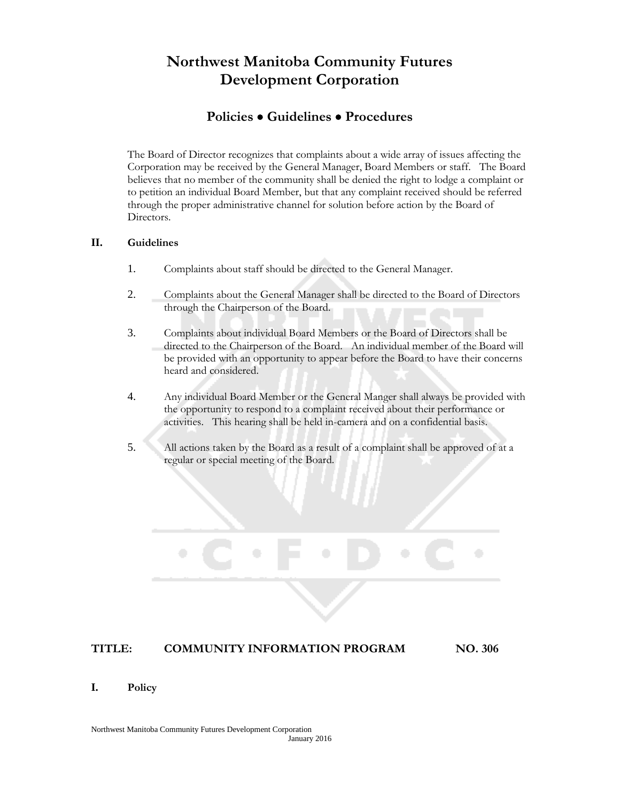### **Policies Guidelines Procedures**

The Board of Director recognizes that complaints about a wide array of issues affecting the Corporation may be received by the General Manager, Board Members or staff. The Board believes that no member of the community shall be denied the right to lodge a complaint or to petition an individual Board Member, but that any complaint received should be referred through the proper administrative channel for solution before action by the Board of Directors.

#### **II. Guidelines**

- 1. Complaints about staff should be directed to the General Manager.
- 2. Complaints about the General Manager shall be directed to the Board of Directors through the Chairperson of the Board.
- 3. Complaints about individual Board Members or the Board of Directors shall be directed to the Chairperson of the Board. An individual member of the Board will be provided with an opportunity to appear before the Board to have their concerns heard and considered.
- 4. Any individual Board Member or the General Manger shall always be provided with the opportunity to respond to a complaint received about their performance or activities. This hearing shall be held in-camera and on a confidential basis.
- 5. All actions taken by the Board as a result of a complaint shall be approved of at a regular or special meeting of the Board.

#### **TITLE: COMMUNITY INFORMATION PROGRAM NO. 306**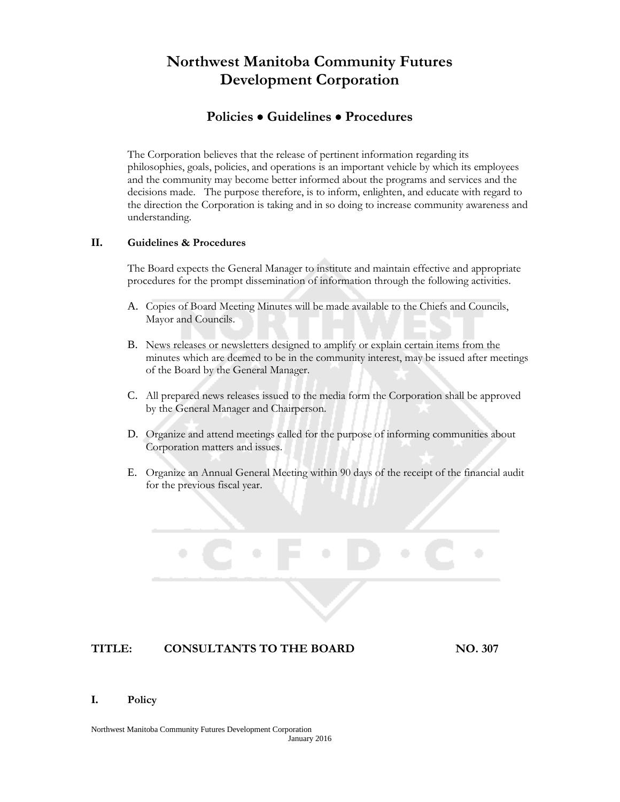### **Policies Guidelines Procedures**

The Corporation believes that the release of pertinent information regarding its philosophies, goals, policies, and operations is an important vehicle by which its employees and the community may become better informed about the programs and services and the decisions made. The purpose therefore, is to inform, enlighten, and educate with regard to the direction the Corporation is taking and in so doing to increase community awareness and understanding.

#### **II. Guidelines & Procedures**

The Board expects the General Manager to institute and maintain effective and appropriate procedures for the prompt dissemination of information through the following activities.

- A. Copies of Board Meeting Minutes will be made available to the Chiefs and Councils, Mayor and Councils.
- B. News releases or newsletters designed to amplify or explain certain items from the minutes which are deemed to be in the community interest, may be issued after meetings of the Board by the General Manager.
- C. All prepared news releases issued to the media form the Corporation shall be approved by the General Manager and Chairperson.
- D. Organize and attend meetings called for the purpose of informing communities about Corporation matters and issues.
- E. Organize an Annual General Meeting within 90 days of the receipt of the financial audit for the previous fiscal year.

#### **TITLE: CONSULTANTS TO THE BOARD NO. 307**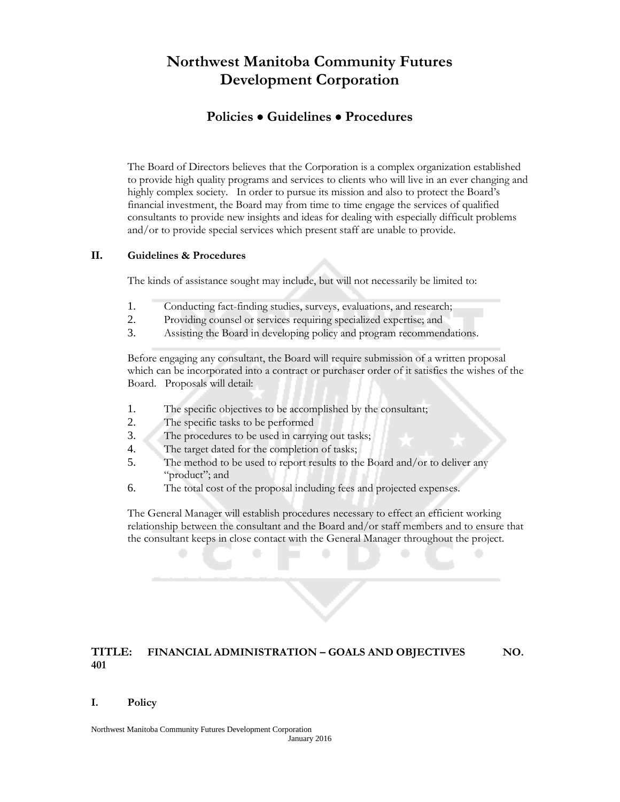### **Policies Guidelines Procedures**

The Board of Directors believes that the Corporation is a complex organization established to provide high quality programs and services to clients who will live in an ever changing and highly complex society. In order to pursue its mission and also to protect the Board's financial investment, the Board may from time to time engage the services of qualified consultants to provide new insights and ideas for dealing with especially difficult problems and/or to provide special services which present staff are unable to provide.

#### **II. Guidelines & Procedures**

The kinds of assistance sought may include, but will not necessarily be limited to:

- 1. Conducting fact-finding studies, surveys, evaluations, and research;
- 2. Providing counsel or services requiring specialized expertise; and
- 3. Assisting the Board in developing policy and program recommendations.

Before engaging any consultant, the Board will require submission of a written proposal which can be incorporated into a contract or purchaser order of it satisfies the wishes of the Board. Proposals will detail:

- 1. The specific objectives to be accomplished by the consultant;
- 2. The specific tasks to be performed
- 3. The procedures to be used in carrying out tasks;
- 4. The target dated for the completion of tasks;
- 5. The method to be used to report results to the Board and/or to deliver any "product"; and
- 6. The total cost of the proposal including fees and projected expenses.

The General Manager will establish procedures necessary to effect an efficient working relationship between the consultant and the Board and/or staff members and to ensure that the consultant keeps in close contact with the General Manager throughout the project.

#### **TITLE: FINANCIAL ADMINISTRATION – GOALS AND OBJECTIVES NO. 401**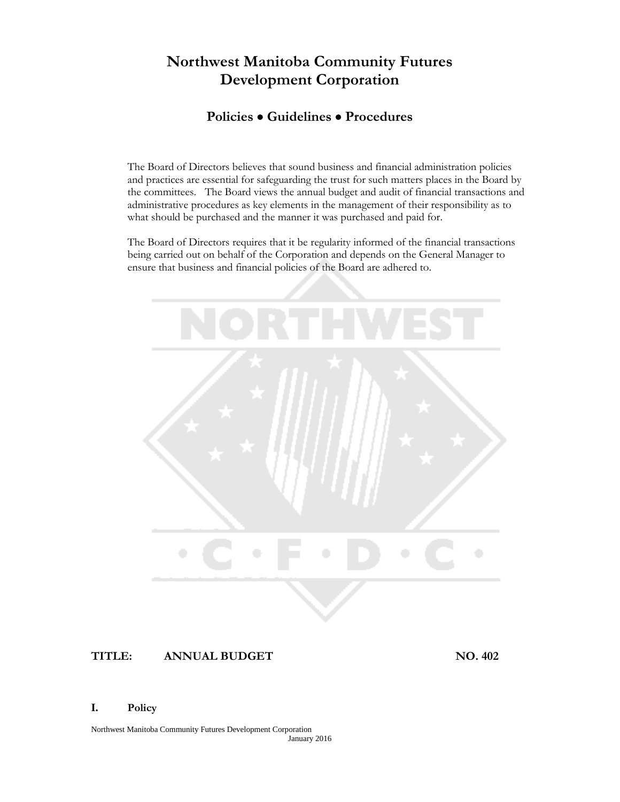### **Policies Guidelines Procedures**

The Board of Directors believes that sound business and financial administration policies and practices are essential for safeguarding the trust for such matters places in the Board by the committees. The Board views the annual budget and audit of financial transactions and administrative procedures as key elements in the management of their responsibility as to what should be purchased and the manner it was purchased and paid for.

The Board of Directors requires that it be regularity informed of the financial transactions being carried out on behalf of the Corporation and depends on the General Manager to ensure that business and financial policies of the Board are adhered to.



#### **TITLE: ANNUAL BUDGET NO. 402**

#### **I. Policy**

Northwest Manitoba Community Futures Development Corporation January 2016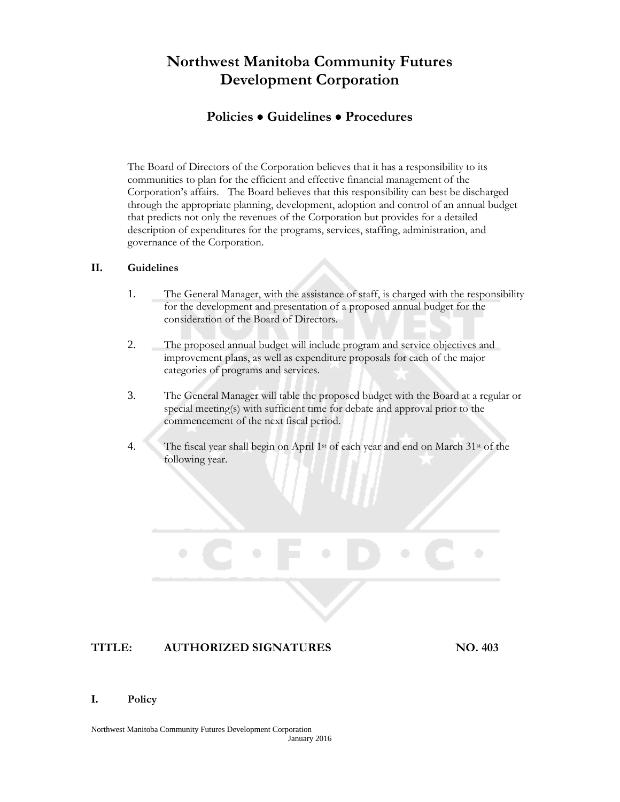### **Policies Guidelines Procedures**

The Board of Directors of the Corporation believes that it has a responsibility to its communities to plan for the efficient and effective financial management of the Corporation's affairs. The Board believes that this responsibility can best be discharged through the appropriate planning, development, adoption and control of an annual budget that predicts not only the revenues of the Corporation but provides for a detailed description of expenditures for the programs, services, staffing, administration, and governance of the Corporation.

#### **II. Guidelines**

- 1. The General Manager, with the assistance of staff, is charged with the responsibility for the development and presentation of a proposed annual budget for the consideration of the Board of Directors.
- 2. The proposed annual budget will include program and service objectives and improvement plans, as well as expenditure proposals for each of the major categories of programs and services.
- 3. The General Manager will table the proposed budget with the Board at a regular or special meeting(s) with sufficient time for debate and approval prior to the commencement of the next fiscal period.
- 4. The fiscal year shall begin on April 1st of each year and end on March 31st of the following year.

#### **TITLE: AUTHORIZED SIGNATURES NO. 403**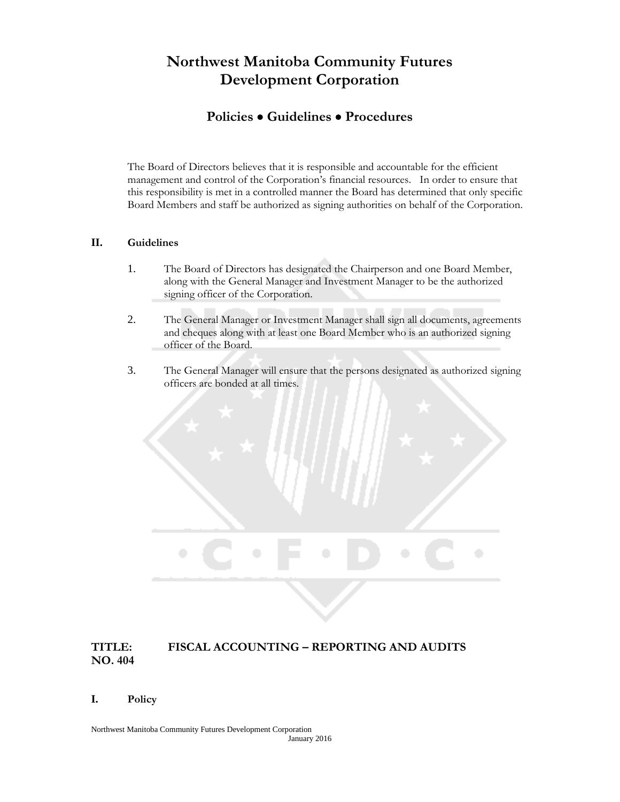### **Policies Guidelines Procedures**

The Board of Directors believes that it is responsible and accountable for the efficient management and control of the Corporation's financial resources. In order to ensure that this responsibility is met in a controlled manner the Board has determined that only specific Board Members and staff be authorized as signing authorities on behalf of the Corporation.

#### **II. Guidelines**

- 1. The Board of Directors has designated the Chairperson and one Board Member, along with the General Manager and Investment Manager to be the authorized signing officer of the Corporation.
- 2. The General Manager or Investment Manager shall sign all documents, agreements and cheques along with at least one Board Member who is an authorized signing officer of the Board.
- 3. The General Manager will ensure that the persons designated as authorized signing officers are bonded at all times.

### **TITLE: FISCAL ACCOUNTING – REPORTING AND AUDITS NO. 404**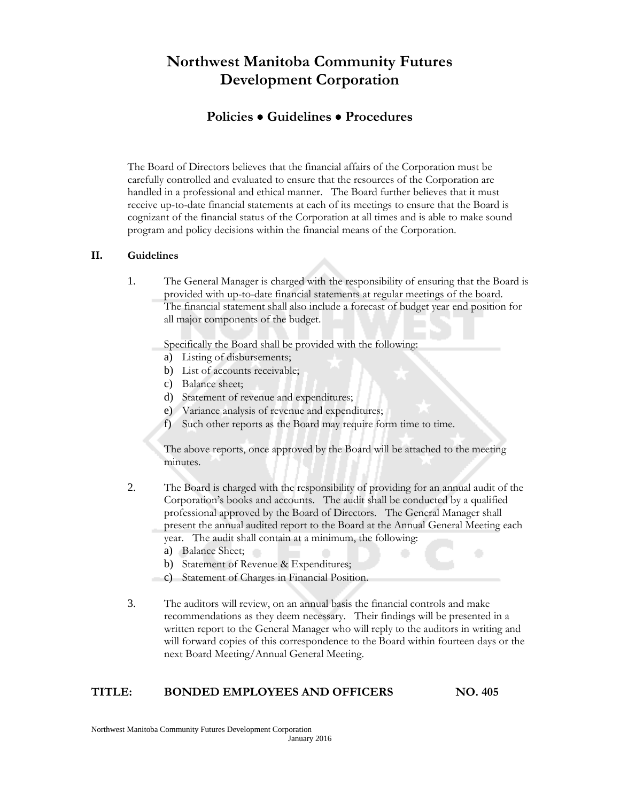### **Policies Guidelines Procedures**

The Board of Directors believes that the financial affairs of the Corporation must be carefully controlled and evaluated to ensure that the resources of the Corporation are handled in a professional and ethical manner. The Board further believes that it must receive up-to-date financial statements at each of its meetings to ensure that the Board is cognizant of the financial status of the Corporation at all times and is able to make sound program and policy decisions within the financial means of the Corporation.

#### **II. Guidelines**

1. The General Manager is charged with the responsibility of ensuring that the Board is provided with up-to-date financial statements at regular meetings of the board. The financial statement shall also include a forecast of budget year end position for all major components of the budget.

Specifically the Board shall be provided with the following:

- a) Listing of disbursements;
- b) List of accounts receivable;
- c) Balance sheet;
- d) Statement of revenue and expenditures;
- e) Variance analysis of revenue and expenditures;
- f) Such other reports as the Board may require form time to time.

The above reports, once approved by the Board will be attached to the meeting minutes.

- 2. The Board is charged with the responsibility of providing for an annual audit of the Corporation's books and accounts. The audit shall be conducted by a qualified professional approved by the Board of Directors. The General Manager shall present the annual audited report to the Board at the Annual General Meeting each year. The audit shall contain at a minimum, the following:
	- a) Balance Sheet;
	- b) Statement of Revenue & Expenditures;
	- c) Statement of Charges in Financial Position.
- 3. The auditors will review, on an annual basis the financial controls and make recommendations as they deem necessary. Their findings will be presented in a written report to the General Manager who will reply to the auditors in writing and will forward copies of this correspondence to the Board within fourteen days or the next Board Meeting/Annual General Meeting.

#### **TITLE: BONDED EMPLOYEES AND OFFICERS NO. 405**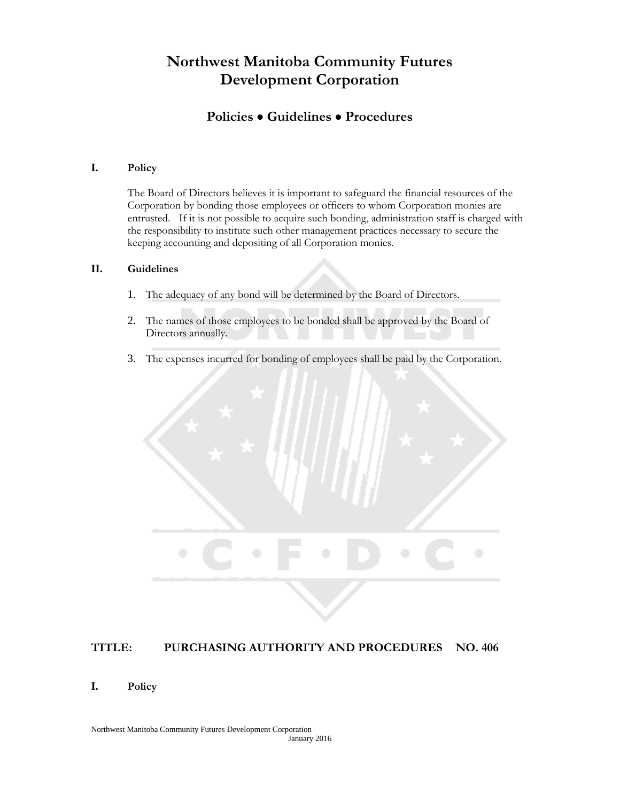## **Policies Guidelines Procedures**

#### **I. Policy**

The Board of Directors believes it is important to safeguard the financial resources of the Corporation by bonding those employees or officers to whom Corporation monies are entrusted. If it is not possible to acquire such bonding, administration staff is charged with the responsibility to institute such other management practices necessary to secure the keeping accounting and depositing of all Corporation monies.

#### **II. Guidelines**

- 1. The adequacy of any bond will be determined by the Board of Directors.
- 2. The names of those employees to be bonded shall be approved by the Board of Directors annually.
- 3. The expenses incurred for bonding of employees shall be paid by the Corporation.



#### **TITLE: PURCHASING AUTHORITY AND PROCEDURES NO. 406**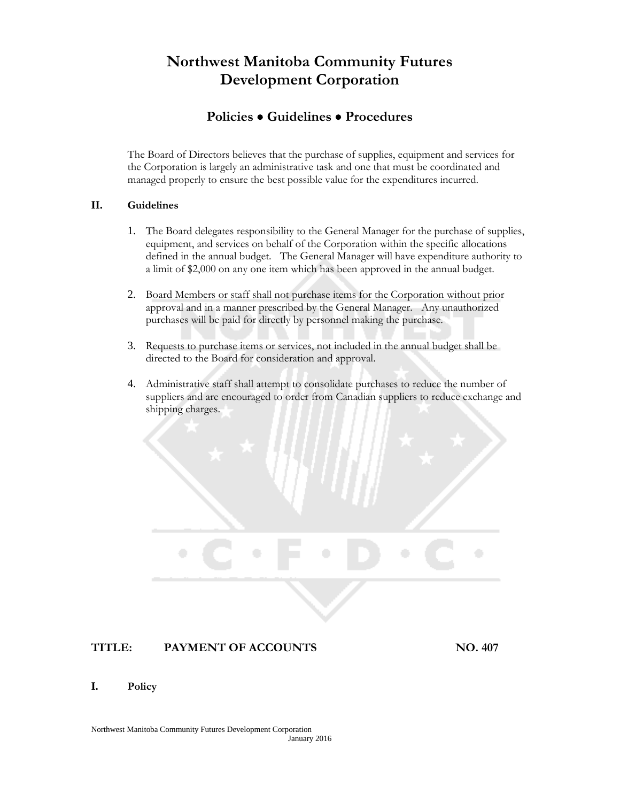### **Policies Guidelines Procedures**

The Board of Directors believes that the purchase of supplies, equipment and services for the Corporation is largely an administrative task and one that must be coordinated and managed properly to ensure the best possible value for the expenditures incurred.

#### **II. Guidelines**

- 1. The Board delegates responsibility to the General Manager for the purchase of supplies, equipment, and services on behalf of the Corporation within the specific allocations defined in the annual budget. The General Manager will have expenditure authority to a limit of \$2,000 on any one item which has been approved in the annual budget.
- 2. Board Members or staff shall not purchase items for the Corporation without prior approval and in a manner prescribed by the General Manager. Any unauthorized purchases will be paid for directly by personnel making the purchase.
- 3. Requests to purchase items or services, not included in the annual budget shall be directed to the Board for consideration and approval.
- 4. Administrative staff shall attempt to consolidate purchases to reduce the number of suppliers and are encouraged to order from Canadian suppliers to reduce exchange and shipping charges.

### **TITLE: PAYMENT OF ACCOUNTS NO. 407**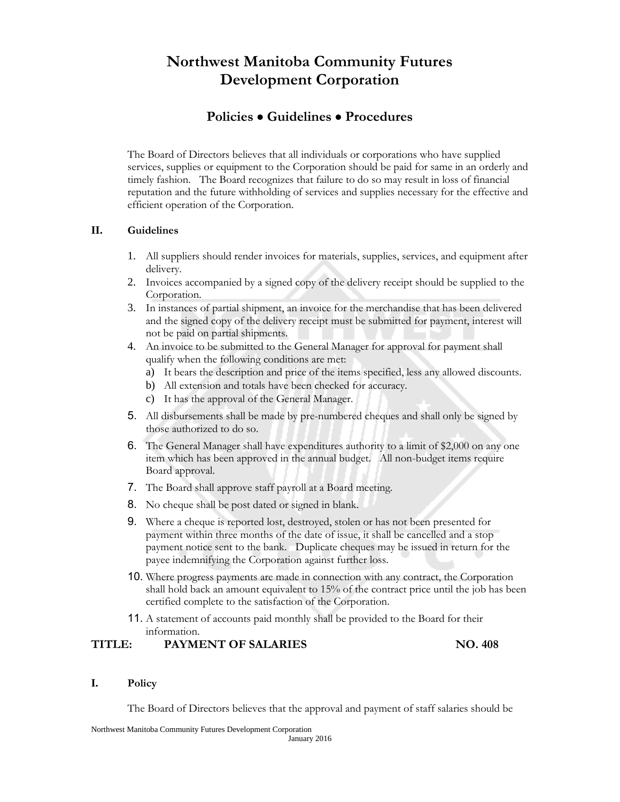## **Policies Guidelines Procedures**

The Board of Directors believes that all individuals or corporations who have supplied services, supplies or equipment to the Corporation should be paid for same in an orderly and timely fashion. The Board recognizes that failure to do so may result in loss of financial reputation and the future withholding of services and supplies necessary for the effective and efficient operation of the Corporation.

#### **II. Guidelines**

- 1. All suppliers should render invoices for materials, supplies, services, and equipment after delivery.
- 2. Invoices accompanied by a signed copy of the delivery receipt should be supplied to the Corporation.
- 3. In instances of partial shipment, an invoice for the merchandise that has been delivered and the signed copy of the delivery receipt must be submitted for payment, interest will not be paid on partial shipments.
- 4. An invoice to be submitted to the General Manager for approval for payment shall qualify when the following conditions are met:
	- a) It bears the description and price of the items specified, less any allowed discounts.
	- b) All extension and totals have been checked for accuracy.
	- c) It has the approval of the General Manager.
- 5. All disbursements shall be made by pre-numbered cheques and shall only be signed by those authorized to do so.
- 6. The General Manager shall have expenditures authority to a limit of \$2,000 on any one item which has been approved in the annual budget. All non-budget items require Board approval.
- 7. The Board shall approve staff payroll at a Board meeting.
- 8. No cheque shall be post dated or signed in blank.
- 9. Where a cheque is reported lost, destroyed, stolen or has not been presented for payment within three months of the date of issue, it shall be cancelled and a stop payment notice sent to the bank. Duplicate cheques may be issued in return for the payee indemnifying the Corporation against further loss.
- 10. Where progress payments are made in connection with any contract, the Corporation shall hold back an amount equivalent to 15% of the contract price until the job has been certified complete to the satisfaction of the Corporation.
- 11. A statement of accounts paid monthly shall be provided to the Board for their information.

#### **TITLE: PAYMENT OF SALARIES NO. 408**

#### **I. Policy**

The Board of Directors believes that the approval and payment of staff salaries should be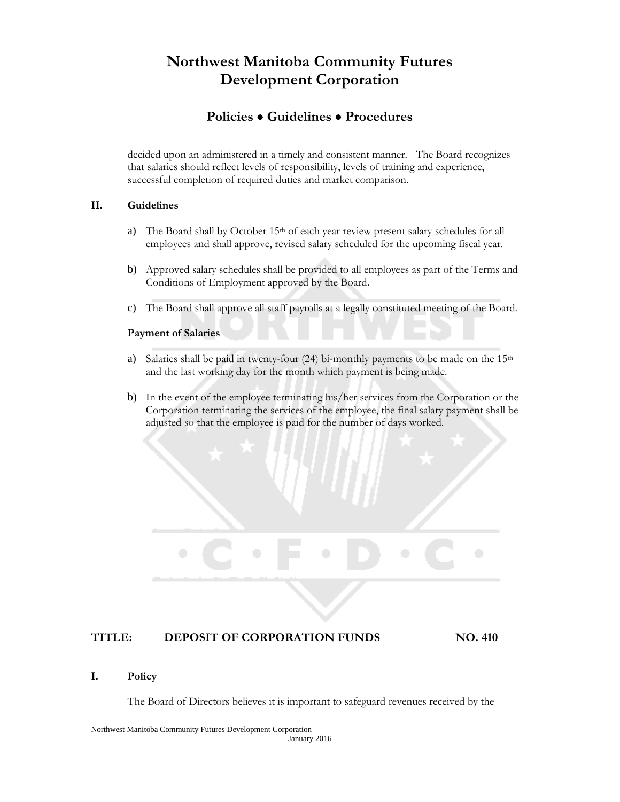### **Policies Guidelines Procedures**

decided upon an administered in a timely and consistent manner. The Board recognizes that salaries should reflect levels of responsibility, levels of training and experience, successful completion of required duties and market comparison.

#### **II. Guidelines**

- a) The Board shall by October 15<sup>th</sup> of each year review present salary schedules for all employees and shall approve, revised salary scheduled for the upcoming fiscal year.
- b) Approved salary schedules shall be provided to all employees as part of the Terms and Conditions of Employment approved by the Board.
- c) The Board shall approve all staff payrolls at a legally constituted meeting of the Board.

#### **Payment of Salaries**

- a) Salaries shall be paid in twenty-four  $(24)$  bi-monthly payments to be made on the  $15<sup>th</sup>$ and the last working day for the month which payment is being made.
- b) In the event of the employee terminating his/her services from the Corporation or the Corporation terminating the services of the employee, the final salary payment shall be adjusted so that the employee is paid for the number of days worked.

#### **TITLE: DEPOSIT OF CORPORATION FUNDS NO. 410**

#### **I. Policy**

The Board of Directors believes it is important to safeguard revenues received by the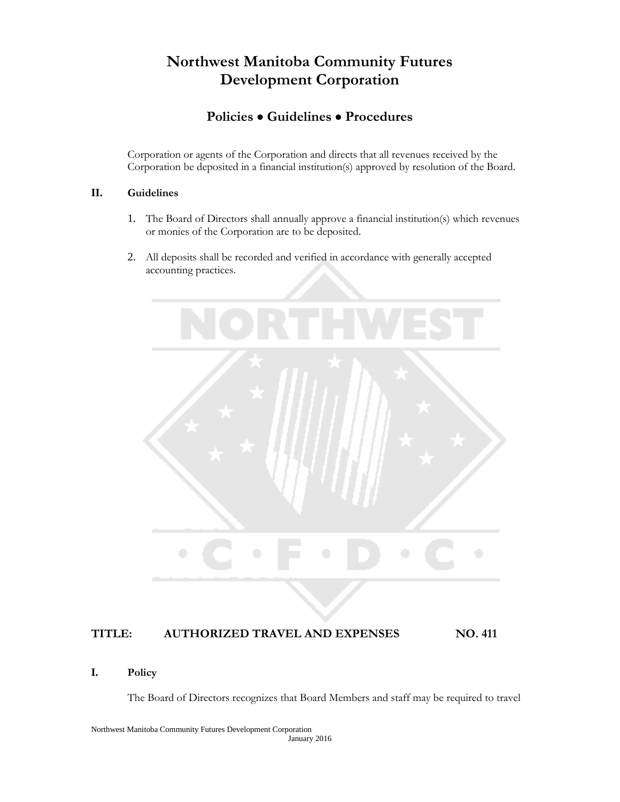## **Policies Guidelines Procedures**

Corporation or agents of the Corporation and directs that all revenues received by the Corporation be deposited in a financial institution(s) approved by resolution of the Board.

#### **II. Guidelines**

- 1. The Board of Directors shall annually approve a financial institution(s) which revenues or monies of the Corporation are to be deposited.
- 2. All deposits shall be recorded and verified in accordance with generally accepted accounting practices.



#### **TITLE: AUTHORIZED TRAVEL AND EXPENSES NO. 411**

#### **I. Policy**

The Board of Directors recognizes that Board Members and staff may be required to travel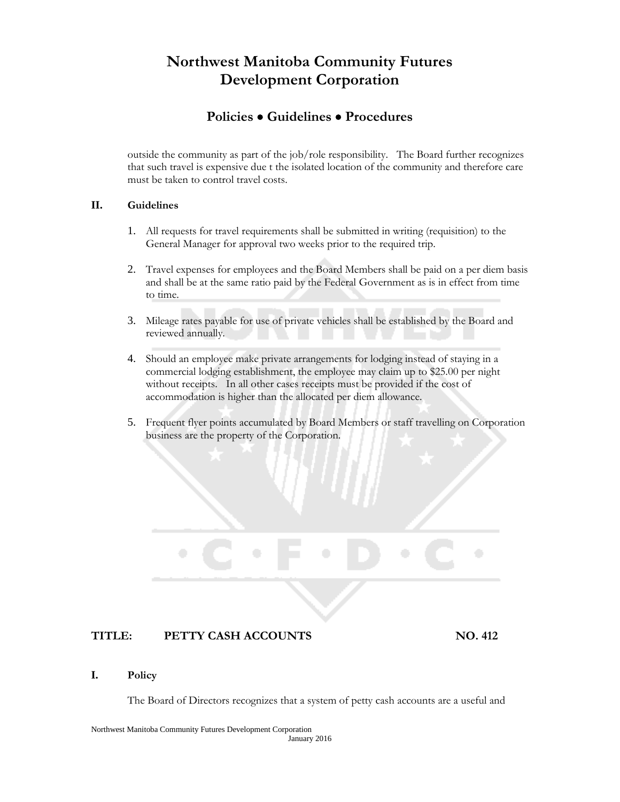### **Policies Guidelines Procedures**

outside the community as part of the job/role responsibility. The Board further recognizes that such travel is expensive due t the isolated location of the community and therefore care must be taken to control travel costs.

#### **II. Guidelines**

- 1. All requests for travel requirements shall be submitted in writing (requisition) to the General Manager for approval two weeks prior to the required trip.
- 2. Travel expenses for employees and the Board Members shall be paid on a per diem basis and shall be at the same ratio paid by the Federal Government as is in effect from time to time.
- 3. Mileage rates payable for use of private vehicles shall be established by the Board and reviewed annually.
- 4. Should an employee make private arrangements for lodging instead of staying in a commercial lodging establishment, the employee may claim up to \$25.00 per night without receipts. In all other cases receipts must be provided if the cost of accommodation is higher than the allocated per diem allowance.
- 5. Frequent flyer points accumulated by Board Members or staff travelling on Corporation business are the property of the Corporation.

### **TITLE: PETTY CASH ACCOUNTS NO. 412**

#### **I. Policy**

The Board of Directors recognizes that a system of petty cash accounts are a useful and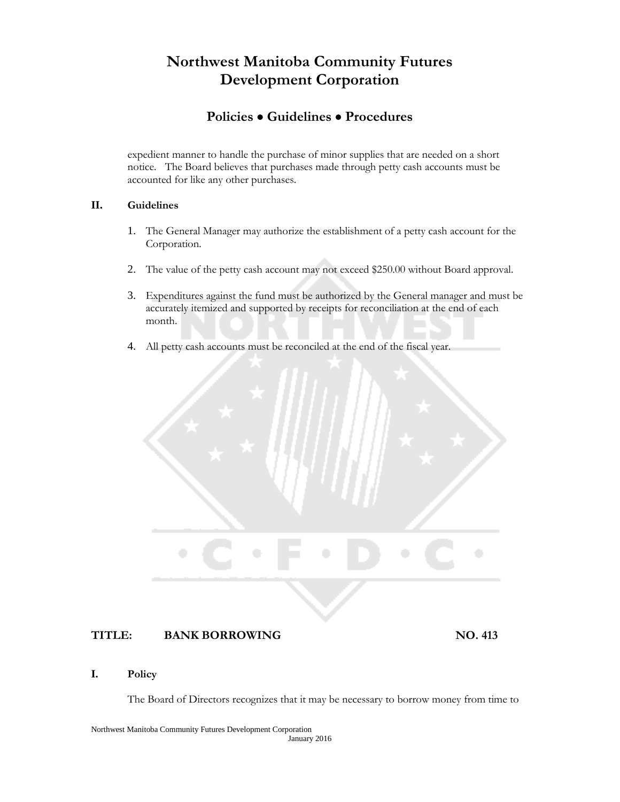### **Policies Guidelines Procedures**

expedient manner to handle the purchase of minor supplies that are needed on a short notice. The Board believes that purchases made through petty cash accounts must be accounted for like any other purchases.

#### **II. Guidelines**

- 1. The General Manager may authorize the establishment of a petty cash account for the Corporation.
- 2. The value of the petty cash account may not exceed \$250.00 without Board approval.
- 3. Expenditures against the fund must be authorized by the General manager and must be accurately itemized and supported by receipts for reconciliation at the end of each month.
- 4. All petty cash accounts must be reconciled at the end of the fiscal year.

#### **TITLE: BANK BORROWING NO. 413**

#### **I. Policy**

The Board of Directors recognizes that it may be necessary to borrow money from time to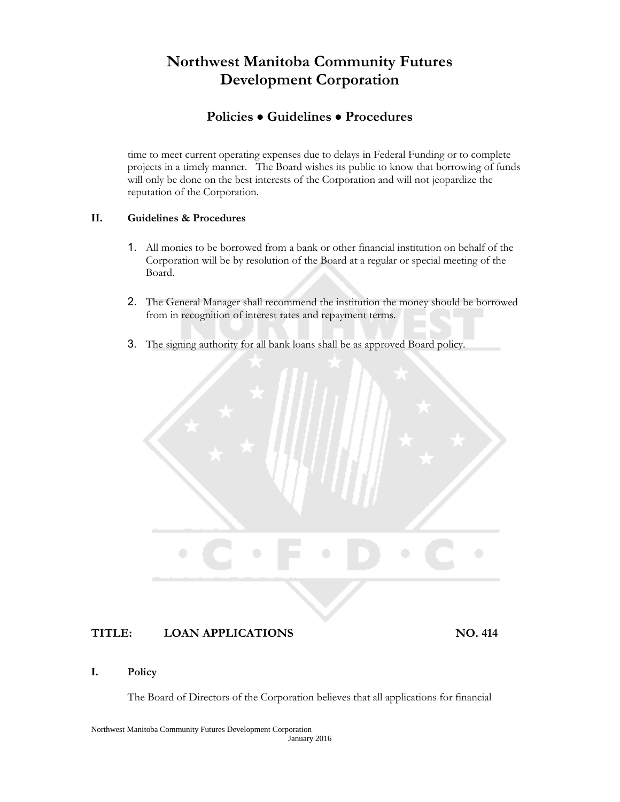## **Policies Guidelines Procedures**

time to meet current operating expenses due to delays in Federal Funding or to complete projects in a timely manner. The Board wishes its public to know that borrowing of funds will only be done on the best interests of the Corporation and will not jeopardize the reputation of the Corporation.

#### **II. Guidelines & Procedures**

- 1. All monies to be borrowed from a bank or other financial institution on behalf of the Corporation will be by resolution of the Board at a regular or special meeting of the Board.
- 2. The General Manager shall recommend the institution the money should be borrowed from in recognition of interest rates and repayment terms.
- 3. The signing authority for all bank loans shall be as approved Board policy.

#### **TITLE: LOAN APPLICATIONS NO. 414**

#### **I. Policy**

The Board of Directors of the Corporation believes that all applications for financial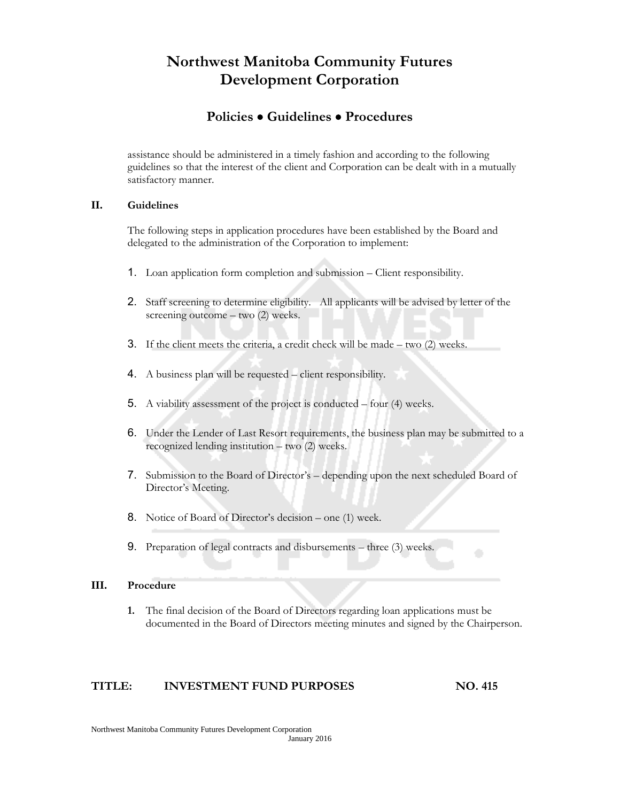### **Policies Guidelines Procedures**

assistance should be administered in a timely fashion and according to the following guidelines so that the interest of the client and Corporation can be dealt with in a mutually satisfactory manner.

#### **II. Guidelines**

The following steps in application procedures have been established by the Board and delegated to the administration of the Corporation to implement:

- 1. Loan application form completion and submission Client responsibility.
- 2. Staff screening to determine eligibility. All applicants will be advised by letter of the screening outcome – two (2) weeks.
- 3. If the client meets the criteria, a credit check will be made two (2) weeks.
- 4. A business plan will be requested client responsibility.
- 5. A viability assessment of the project is conducted four (4) weeks.
- 6. Under the Lender of Last Resort requirements, the business plan may be submitted to a recognized lending institution – two (2) weeks.
- 7. Submission to the Board of Director's depending upon the next scheduled Board of Director's Meeting.
- 8. Notice of Board of Director's decision one (1) week.
- 9. Preparation of legal contracts and disbursements three (3) weeks.

#### **III. Procedure**

**1.** The final decision of the Board of Directors regarding loan applications must be documented in the Board of Directors meeting minutes and signed by the Chairperson.

#### **TITLE: INVESTMENT FUND PURPOSES NO. 415**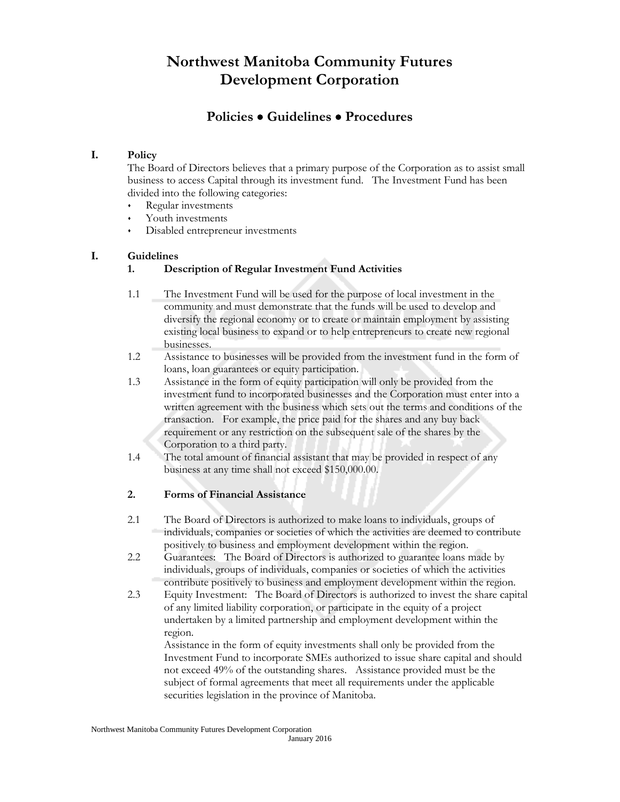# **Policies Guidelines Procedures**

#### **I. Policy**

The Board of Directors believes that a primary purpose of the Corporation as to assist small business to access Capital through its investment fund. The Investment Fund has been divided into the following categories:

- Regular investments
- Youth investments
- Disabled entrepreneur investments

#### **I. Guidelines**

#### **1. Description of Regular Investment Fund Activities**

- 1.1 The Investment Fund will be used for the purpose of local investment in the community and must demonstrate that the funds will be used to develop and diversify the regional economy or to create or maintain employment by assisting existing local business to expand or to help entrepreneurs to create new regional businesses.
- 1.2 Assistance to businesses will be provided from the investment fund in the form of loans, loan guarantees or equity participation.
- 1.3 Assistance in the form of equity participation will only be provided from the investment fund to incorporated businesses and the Corporation must enter into a written agreement with the business which sets out the terms and conditions of the transaction. For example, the price paid for the shares and any buy back requirement or any restriction on the subsequent sale of the shares by the Corporation to a third party.
- 1.4 The total amount of financial assistant that may be provided in respect of any business at any time shall not exceed \$150,000.00.

#### **2. Forms of Financial Assistance**

- 2.1 The Board of Directors is authorized to make loans to individuals, groups of individuals, companies or societies of which the activities are deemed to contribute positively to business and employment development within the region.
- 2.2 Guarantees: The Board of Directors is authorized to guarantee loans made by individuals, groups of individuals, companies or societies of which the activities contribute positively to business and employment development within the region.
- 2.3 Equity Investment: The Board of Directors is authorized to invest the share capital of any limited liability corporation, or participate in the equity of a project undertaken by a limited partnership and employment development within the region.

Assistance in the form of equity investments shall only be provided from the Investment Fund to incorporate SMEs authorized to issue share capital and should not exceed 49% of the outstanding shares. Assistance provided must be the subject of formal agreements that meet all requirements under the applicable securities legislation in the province of Manitoba.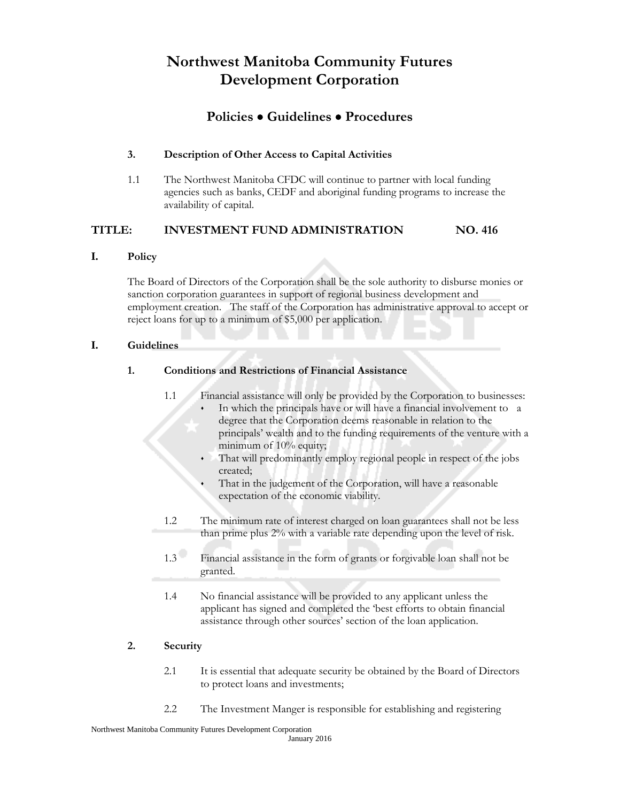### **Policies Guidelines Procedures**

#### **3. Description of Other Access to Capital Activities**

1.1 The Northwest Manitoba CFDC will continue to partner with local funding agencies such as banks, CEDF and aboriginal funding programs to increase the availability of capital.

#### **TITLE: INVESTMENT FUND ADMINISTRATION NO. 416**

#### **I. Policy**

The Board of Directors of the Corporation shall be the sole authority to disburse monies or sanction corporation guarantees in support of regional business development and employment creation. The staff of the Corporation has administrative approval to accept or reject loans for up to a minimum of \$5,000 per application.

#### **I. Guidelines**

#### **1. Conditions and Restrictions of Financial Assistance**

- 1.1 Financial assistance will only be provided by the Corporation to businesses: In which the principals have or will have a financial involvement to a degree that the Corporation deems reasonable in relation to the principals' wealth and to the funding requirements of the venture with a minimum of 10% equity;
	- That will predominantly employ regional people in respect of the jobs created;
	- That in the judgement of the Corporation, will have a reasonable expectation of the economic viability.
- 1.2 The minimum rate of interest charged on loan guarantees shall not be less than prime plus 2% with a variable rate depending upon the level of risk.
- 1.3 Financial assistance in the form of grants or forgivable loan shall not be granted.
- 1.4 No financial assistance will be provided to any applicant unless the applicant has signed and completed the 'best efforts to obtain financial assistance through other sources' section of the loan application.

#### **2. Security**

- 2.1 It is essential that adequate security be obtained by the Board of Directors to protect loans and investments;
- 2.2 The Investment Manger is responsible for establishing and registering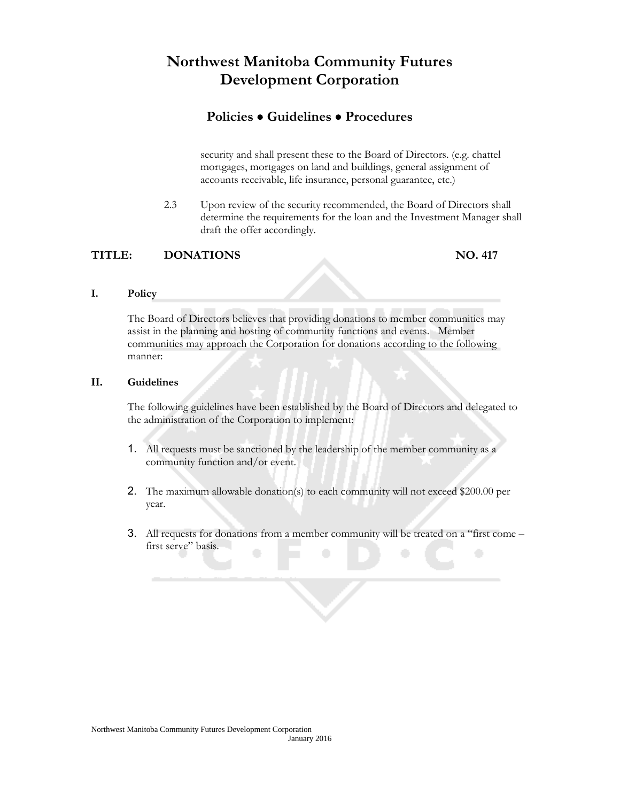### **Policies Guidelines Procedures**

security and shall present these to the Board of Directors. (e.g. chattel mortgages, mortgages on land and buildings, general assignment of accounts receivable, life insurance, personal guarantee, etc.)

2.3 Upon review of the security recommended, the Board of Directors shall determine the requirements for the loan and the Investment Manager shall draft the offer accordingly.

#### **TITLE: DONATIONS NO. 417**

#### **I. Policy**

The Board of Directors believes that providing donations to member communities may assist in the planning and hosting of community functions and events. Member communities may approach the Corporation for donations according to the following manner:

#### **II. Guidelines**

The following guidelines have been established by the Board of Directors and delegated to the administration of the Corporation to implement:

- 1. All requests must be sanctioned by the leadership of the member community as a community function and/or event.
- 2. The maximum allowable donation(s) to each community will not exceed \$200.00 per year.
- 3. All requests for donations from a member community will be treated on a "first come first serve" basis.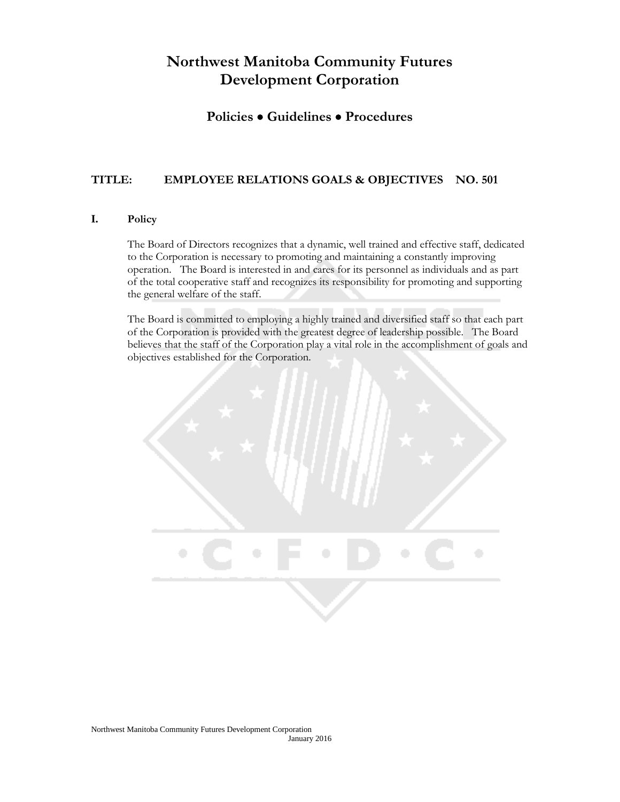### **Policies Guidelines Procedures**

#### **TITLE: EMPLOYEE RELATIONS GOALS & OBJECTIVES NO. 501**

#### **I. Policy**

The Board of Directors recognizes that a dynamic, well trained and effective staff, dedicated to the Corporation is necessary to promoting and maintaining a constantly improving operation. The Board is interested in and cares for its personnel as individuals and as part of the total cooperative staff and recognizes its responsibility for promoting and supporting the general welfare of the staff.

The Board is committed to employing a highly trained and diversified staff so that each part of the Corporation is provided with the greatest degree of leadership possible. The Board believes that the staff of the Corporation play a vital role in the accomplishment of goals and objectives established for the Corporation.

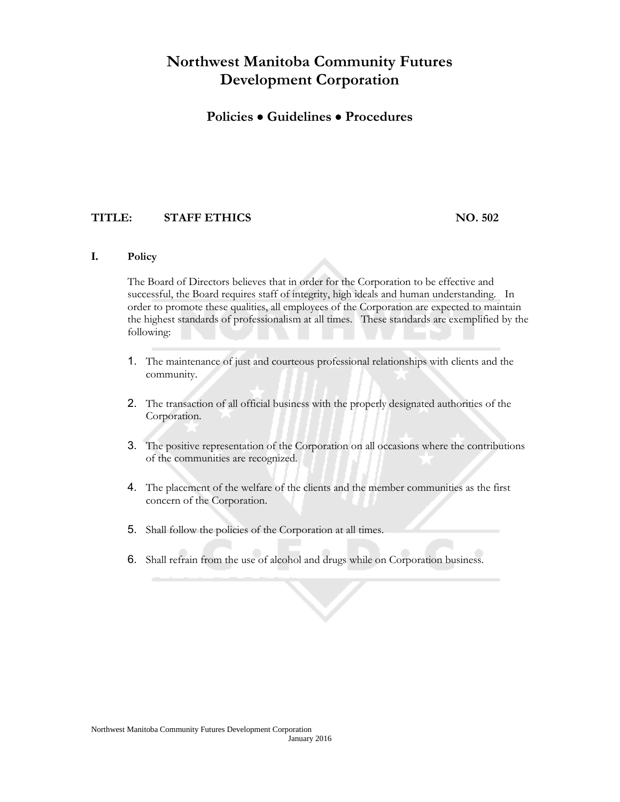### **Policies Guidelines Procedures**

#### **TITLE: STAFF ETHICS NO. 502**

#### **I. Policy**

The Board of Directors believes that in order for the Corporation to be effective and successful, the Board requires staff of integrity, high ideals and human understanding. In order to promote these qualities, all employees of the Corporation are expected to maintain the highest standards of professionalism at all times. These standards are exemplified by the following:

- 1. The maintenance of just and courteous professional relationships with clients and the community.
- 2. The transaction of all official business with the properly designated authorities of the Corporation.
- 3. The positive representation of the Corporation on all occasions where the contributions of the communities are recognized.
- 4. The placement of the welfare of the clients and the member communities as the first concern of the Corporation.
- 5. Shall follow the policies of the Corporation at all times.
- 6. Shall refrain from the use of alcohol and drugs while on Corporation business.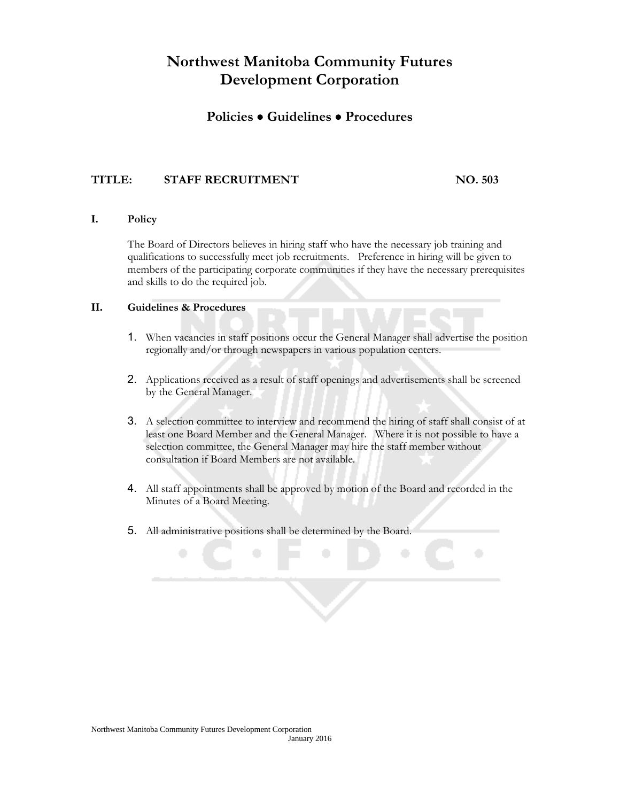### **Policies Guidelines Procedures**

#### **TITLE: STAFF RECRUITMENT NO. 503**

#### **I. Policy**

The Board of Directors believes in hiring staff who have the necessary job training and qualifications to successfully meet job recruitments. Preference in hiring will be given to members of the participating corporate communities if they have the necessary prerequisites and skills to do the required job.

#### **II. Guidelines & Procedures**

- 1. When vacancies in staff positions occur the General Manager shall advertise the position regionally and/or through newspapers in various population centers.
- 2. Applications received as a result of staff openings and advertisements shall be screened by the General Manager.
- 3. A selection committee to interview and recommend the hiring of staff shall consist of at least one Board Member and the General Manager. Where it is not possible to have a selection committee, the General Manager may hire the staff member without consultation if Board Members are not available.
- 4. All staff appointments shall be approved by motion of the Board and recorded in the Minutes of a Board Meeting.
- 5. All administrative positions shall be determined by the Board.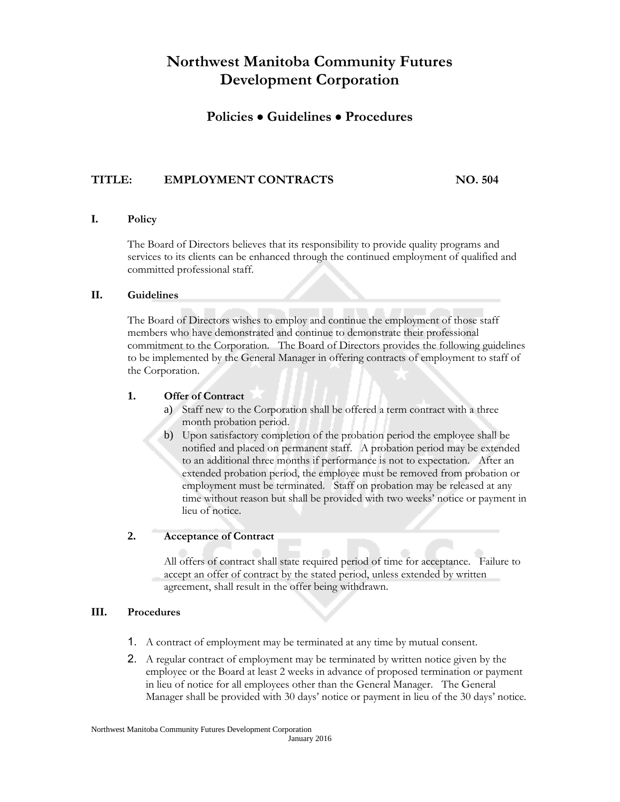### **Policies Guidelines Procedures**

#### **TITLE: EMPLOYMENT CONTRACTS NO. 504**

#### **I. Policy**

The Board of Directors believes that its responsibility to provide quality programs and services to its clients can be enhanced through the continued employment of qualified and committed professional staff.

#### **II. Guidelines**

The Board of Directors wishes to employ and continue the employment of those staff members who have demonstrated and continue to demonstrate their professional commitment to the Corporation. The Board of Directors provides the following guidelines to be implemented by the General Manager in offering contracts of employment to staff of the Corporation.

#### **1. Offer of Contract**

- a) Staff new to the Corporation shall be offered a term contract with a three month probation period.
- b) Upon satisfactory completion of the probation period the employee shall be notified and placed on permanent staff. A probation period may be extended to an additional three months if performance is not to expectation. After an extended probation period, the employee must be removed from probation or employment must be terminated. Staff on probation may be released at any time without reason but shall be provided with two weeks' notice or payment in lieu of notice.

#### **2. Acceptance of Contract**

All offers of contract shall state required period of time for acceptance. Failure to accept an offer of contract by the stated period, unless extended by written agreement, shall result in the offer being withdrawn.

#### **III. Procedures**

- 1. A contract of employment may be terminated at any time by mutual consent.
- 2. A regular contract of employment may be terminated by written notice given by the employee or the Board at least 2 weeks in advance of proposed termination or payment in lieu of notice for all employees other than the General Manager. The General Manager shall be provided with 30 days' notice or payment in lieu of the 30 days' notice.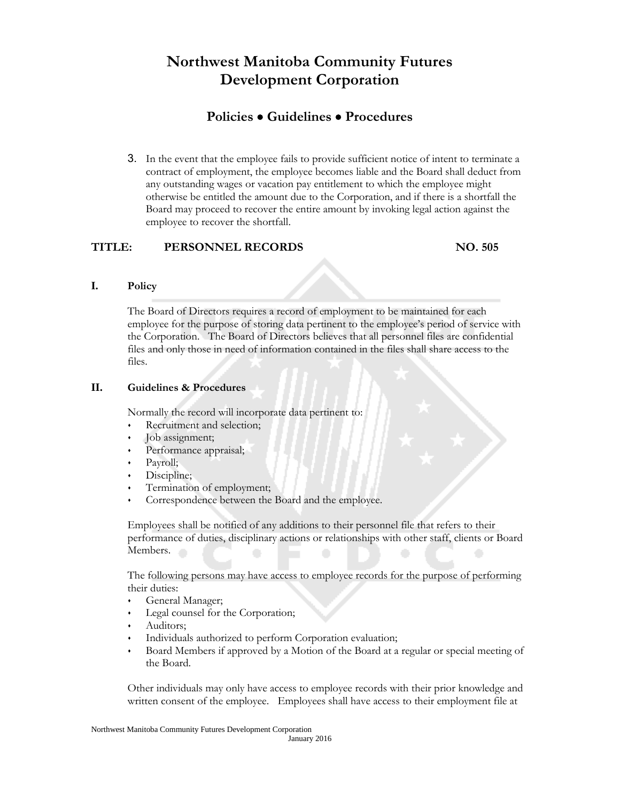# **Policies Guidelines Procedures**

3. In the event that the employee fails to provide sufficient notice of intent to terminate a contract of employment, the employee becomes liable and the Board shall deduct from any outstanding wages or vacation pay entitlement to which the employee might otherwise be entitled the amount due to the Corporation, and if there is a shortfall the Board may proceed to recover the entire amount by invoking legal action against the employee to recover the shortfall.

#### **TITLE: PERSONNEL RECORDS NO. 505**

#### **I. Policy**

The Board of Directors requires a record of employment to be maintained for each employee for the purpose of storing data pertinent to the employee's period of service with the Corporation. The Board of Directors believes that all personnel files are confidential files and only those in need of information contained in the files shall share access to the files.

#### **II. Guidelines & Procedures**

Normally the record will incorporate data pertinent to:

- Recruitment and selection;
- Job assignment;
- Performance appraisal;
- Payroll;
- Discipline;
- Termination of employment;
- Correspondence between the Board and the employee.

Employees shall be notified of any additions to their personnel file that refers to their performance of duties, disciplinary actions or relationships with other staff, clients or Board Members.

The following persons may have access to employee records for the purpose of performing their duties:

- General Manager;
- Legal counsel for the Corporation;
- Auditors;
- Individuals authorized to perform Corporation evaluation;
- Board Members if approved by a Motion of the Board at a regular or special meeting of the Board.

Other individuals may only have access to employee records with their prior knowledge and written consent of the employee. Employees shall have access to their employment file at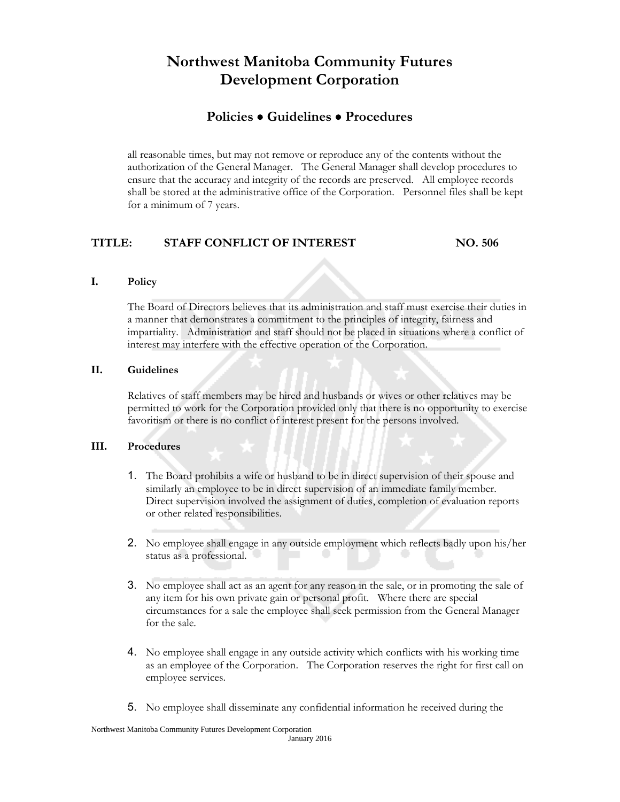### **Policies Guidelines Procedures**

all reasonable times, but may not remove or reproduce any of the contents without the authorization of the General Manager. The General Manager shall develop procedures to ensure that the accuracy and integrity of the records are preserved. All employee records shall be stored at the administrative office of the Corporation. Personnel files shall be kept for a minimum of 7 years.

### **TITLE: STAFF CONFLICT OF INTEREST NO. 506**

#### **I. Policy**

The Board of Directors believes that its administration and staff must exercise their duties in a manner that demonstrates a commitment to the principles of integrity, fairness and impartiality. Administration and staff should not be placed in situations where a conflict of interest may interfere with the effective operation of the Corporation.

#### **II. Guidelines**

Relatives of staff members may be hired and husbands or wives or other relatives may be permitted to work for the Corporation provided only that there is no opportunity to exercise favoritism or there is no conflict of interest present for the persons involved.

#### **III. Procedures**

- 1. The Board prohibits a wife or husband to be in direct supervision of their spouse and similarly an employee to be in direct supervision of an immediate family member. Direct supervision involved the assignment of duties, completion of evaluation reports or other related responsibilities.
- 2. No employee shall engage in any outside employment which reflects badly upon his/her status as a professional.
- 3. No employee shall act as an agent for any reason in the sale, or in promoting the sale of any item for his own private gain or personal profit. Where there are special circumstances for a sale the employee shall seek permission from the General Manager for the sale.
- 4. No employee shall engage in any outside activity which conflicts with his working time as an employee of the Corporation. The Corporation reserves the right for first call on employee services.
- 5. No employee shall disseminate any confidential information he received during the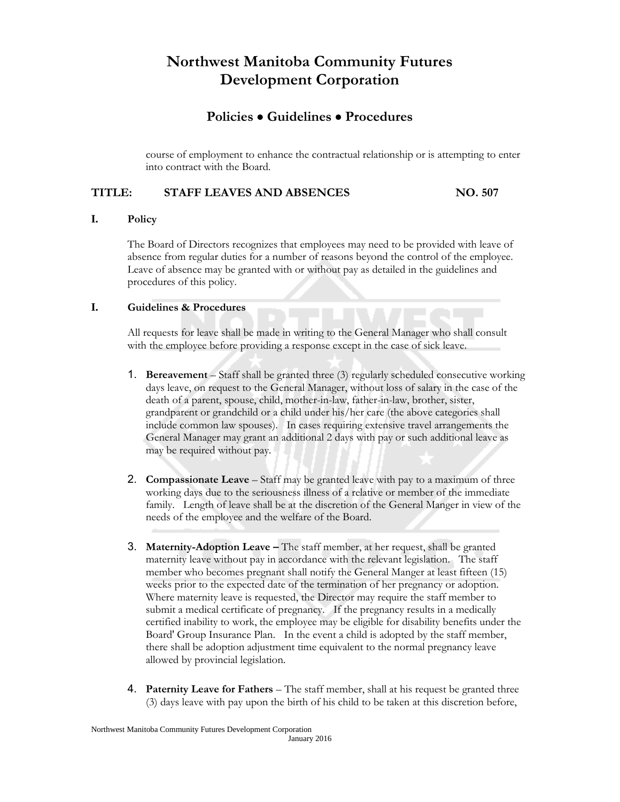### **Policies Guidelines Procedures**

course of employment to enhance the contractual relationship or is attempting to enter into contract with the Board.

#### **TITLE: STAFF LEAVES AND ABSENCES NO. 507**

#### **I. Policy**

The Board of Directors recognizes that employees may need to be provided with leave of absence from regular duties for a number of reasons beyond the control of the employee. Leave of absence may be granted with or without pay as detailed in the guidelines and procedures of this policy.

#### **I. Guidelines & Procedures**

All requests for leave shall be made in writing to the General Manager who shall consult with the employee before providing a response except in the case of sick leave.

- 1. **Bereavement** Staff shall be granted three (3) regularly scheduled consecutive working days leave, on request to the General Manager, without loss of salary in the case of the death of a parent, spouse, child, mother-in-law, father-in-law, brother, sister, grandparent or grandchild or a child under his/her care (the above categories shall include common law spouses). In cases requiring extensive travel arrangements the General Manager may grant an additional 2 days with pay or such additional leave as may be required without pay.
- 2. **Compassionate Leave** Staff may be granted leave with pay to a maximum of three working days due to the seriousness illness of a relative or member of the immediate family. Length of leave shall be at the discretion of the General Manger in view of the needs of the employee and the welfare of the Board.
- 3. **Maternity-Adoption Leave –** The staff member, at her request, shall be granted maternity leave without pay in accordance with the relevant legislation. The staff member who becomes pregnant shall notify the General Manger at least fifteen (15) weeks prior to the expected date of the termination of her pregnancy or adoption. Where maternity leave is requested, the Director may require the staff member to submit a medical certificate of pregnancy. If the pregnancy results in a medically certified inability to work, the employee may be eligible for disability benefits under the Board' Group Insurance Plan. In the event a child is adopted by the staff member, there shall be adoption adjustment time equivalent to the normal pregnancy leave allowed by provincial legislation.
- 4. **Paternity Leave for Fathers** The staff member, shall at his request be granted three (3) days leave with pay upon the birth of his child to be taken at this discretion before,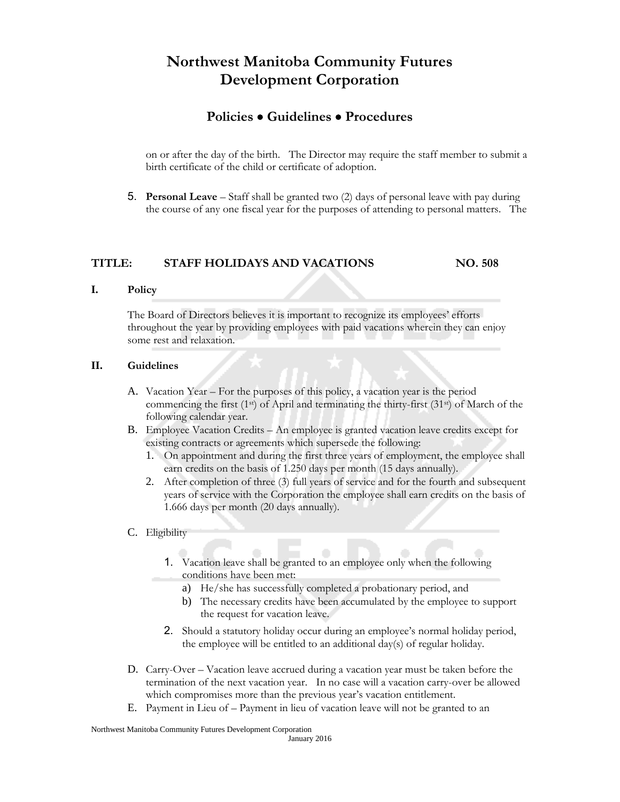### **Policies Guidelines Procedures**

on or after the day of the birth. The Director may require the staff member to submit a birth certificate of the child or certificate of adoption.

5. **Personal Leave** – Staff shall be granted two (2) days of personal leave with pay during the course of any one fiscal year for the purposes of attending to personal matters. The

#### **TITLE: STAFF HOLIDAYS AND VACATIONS NO. 508**

#### **I. Policy**

The Board of Directors believes it is important to recognize its employees' efforts throughout the year by providing employees with paid vacations wherein they can enjoy some rest and relaxation.

#### **II. Guidelines**

- A. Vacation Year For the purposes of this policy, a vacation year is the period commencing the first (1<sup>st</sup>) of April and terminating the thirty-first (31<sup>st</sup>) of March of the following calendar year.
- B. Employee Vacation Credits An employee is granted vacation leave credits except for existing contracts or agreements which supersede the following:
	- 1. On appointment and during the first three years of employment, the employee shall earn credits on the basis of 1.250 days per month (15 days annually).
	- 2. After completion of three (3) full years of service and for the fourth and subsequent years of service with the Corporation the employee shall earn credits on the basis of 1.666 days per month (20 days annually).
- C. Eligibility
	- 1. Vacation leave shall be granted to an employee only when the following conditions have been met:
		- a) He/she has successfully completed a probationary period, and
		- b) The necessary credits have been accumulated by the employee to support the request for vacation leave.
	- 2. Should a statutory holiday occur during an employee's normal holiday period, the employee will be entitled to an additional day(s) of regular holiday.
- D. Carry-Over Vacation leave accrued during a vacation year must be taken before the termination of the next vacation year. In no case will a vacation carry-over be allowed which compromises more than the previous year's vacation entitlement.
- E. Payment in Lieu of Payment in lieu of vacation leave will not be granted to an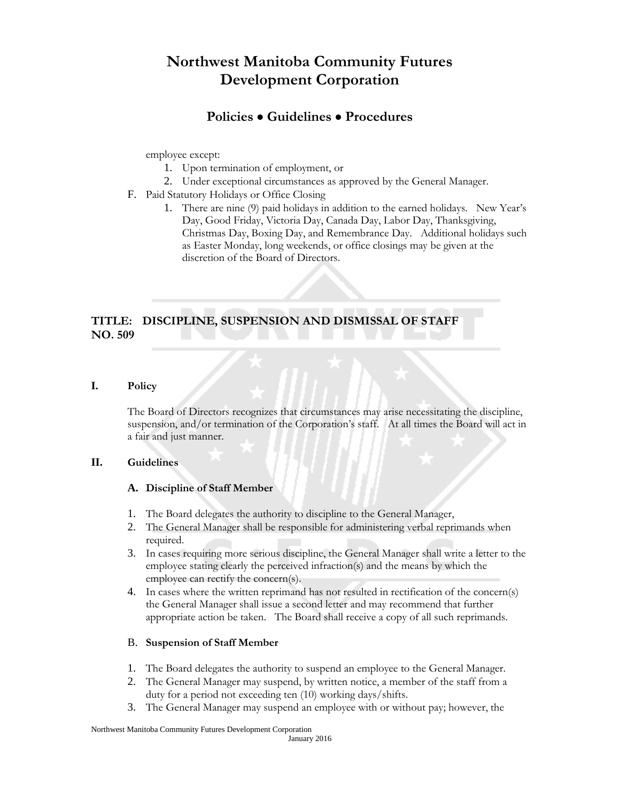### **Policies Guidelines Procedures**

employee except:

- 1. Upon termination of employment, or
- 2. Under exceptional circumstances as approved by the General Manager.
- F. Paid Statutory Holidays or Office Closing
	- 1. There are nine (9) paid holidays in addition to the earned holidays. New Year's Day, Good Friday, Victoria Day, Canada Day, Labor Day, Thanksgiving, Christmas Day, Boxing Day, and Remembrance Day. Additional holidays such as Easter Monday, long weekends, or office closings may be given at the discretion of the Board of Directors.

### **TITLE: DISCIPLINE, SUSPENSION AND DISMISSAL OF STAFF NO. 509**

**I. Policy**

The Board of Directors recognizes that circumstances may arise necessitating the discipline, suspension, and/or termination of the Corporation's staff. At all times the Board will act in a fair and just manner.

#### **II. Guidelines**

#### **A. Discipline of Staff Member**

- 1. The Board delegates the authority to discipline to the General Manager,
- 2. The General Manager shall be responsible for administering verbal reprimands when required.
- 3. In cases requiring more serious discipline, the General Manager shall write a letter to the employee stating clearly the perceived infraction(s) and the means by which the employee can rectify the concern(s).
- 4. In cases where the written reprimand has not resulted in rectification of the concern(s) the General Manager shall issue a second letter and may recommend that further appropriate action be taken. The Board shall receive a copy of all such reprimands.

#### B. **Suspension of Staff Member**

- 1. The Board delegates the authority to suspend an employee to the General Manager.
- 2. The General Manager may suspend, by written notice, a member of the staff from a duty for a period not exceeding ten (10) working days/shifts.
- 3. The General Manager may suspend an employee with or without pay; however, the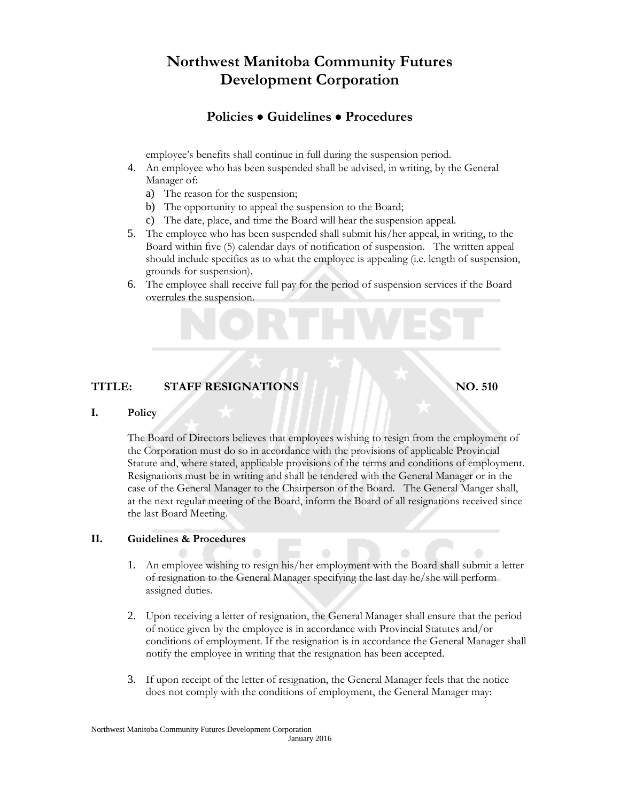## **Policies Guidelines Procedures**

employee's benefits shall continue in full during the suspension period.

- 4. An employee who has been suspended shall be advised, in writing, by the General Manager of:
	- a) The reason for the suspension;
	- b) The opportunity to appeal the suspension to the Board;
	- c) The date, place, and time the Board will hear the suspension appeal.
- 5. The employee who has been suspended shall submit his/her appeal, in writing, to the Board within five (5) calendar days of notification of suspension. The written appeal should include specifics as to what the employee is appealing (i.e. length of suspension, grounds for suspension).
- 6. The employee shall receive full pay for the period of suspension services if the Board overrules the suspension.

#### **TITLE: STAFF RESIGNATIONS NO. 510**

#### **I. Policy**

The Board of Directors believes that employees wishing to resign from the employment of the Corporation must do so in accordance with the provisions of applicable Provincial Statute and, where stated, applicable provisions of the terms and conditions of employment. Resignations must be in writing and shall be tendered with the General Manager or in the case of the General Manager to the Chairperson of the Board. The General Manger shall, at the next regular meeting of the Board, inform the Board of all resignations received since the last Board Meeting.

#### **II. Guidelines & Procedures**

- 1. An employee wishing to resign his/her employment with the Board shall submit a letter of resignation to the General Manager specifying the last day he/she will perform assigned duties.
- 2. Upon receiving a letter of resignation, the General Manager shall ensure that the period of notice given by the employee is in accordance with Provincial Statutes and/or conditions of employment. If the resignation is in accordance the General Manager shall notify the employee in writing that the resignation has been accepted.
- 3. If upon receipt of the letter of resignation, the General Manager feels that the notice does not comply with the conditions of employment, the General Manager may: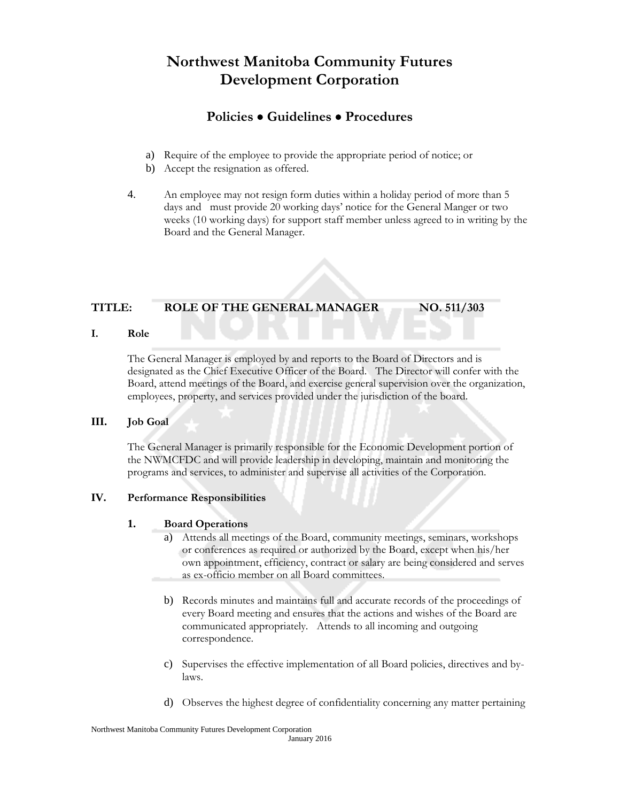### **Policies Guidelines Procedures**

- a) Require of the employee to provide the appropriate period of notice; or
- b) Accept the resignation as offered.
- 4. An employee may not resign form duties within a holiday period of more than 5 days and must provide 20 working days' notice for the General Manger or two weeks (10 working days) for support staff member unless agreed to in writing by the Board and the General Manager.

#### **TITLE: ROLE OF THE GENERAL MANAGER NO. 511/303**

**I. Role**

The General Manager is employed by and reports to the Board of Directors and is designated as the Chief Executive Officer of the Board. The Director will confer with the Board, attend meetings of the Board, and exercise general supervision over the organization, employees, property, and services provided under the jurisdiction of the board.

#### **III. Job Goal**

The General Manager is primarily responsible for the Economic Development portion of the NWMCFDC and will provide leadership in developing, maintain and monitoring the programs and services, to administer and supervise all activities of the Corporation.

#### **IV. Performance Responsibilities**

#### **1. Board Operations**

- a) Attends all meetings of the Board, community meetings, seminars, workshops or conferences as required or authorized by the Board, except when his/her own appointment, efficiency, contract or salary are being considered and serves as ex-officio member on all Board committees.
- b) Records minutes and maintains full and accurate records of the proceedings of every Board meeting and ensures that the actions and wishes of the Board are communicated appropriately. Attends to all incoming and outgoing correspondence.
- c) Supervises the effective implementation of all Board policies, directives and bylaws.
- d) Observes the highest degree of confidentiality concerning any matter pertaining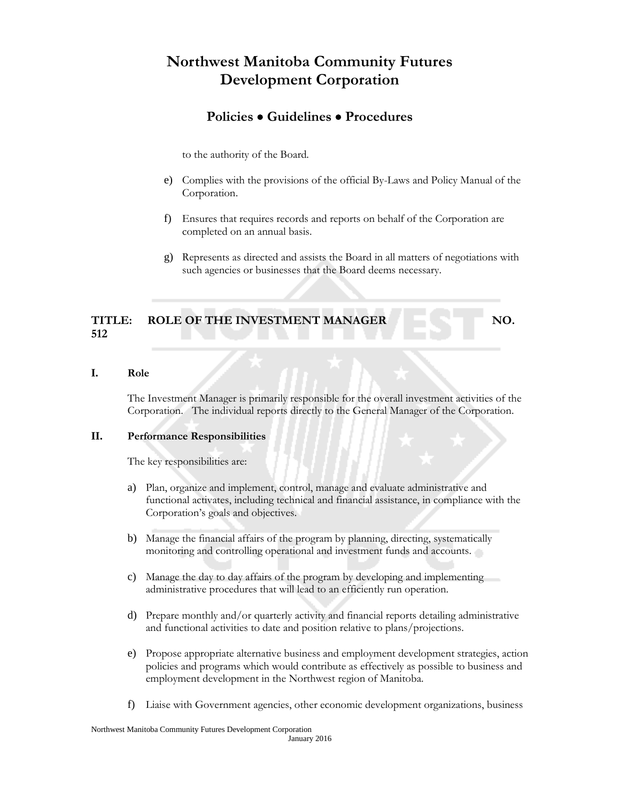### **Policies Guidelines Procedures**

to the authority of the Board.

- e) Complies with the provisions of the official By-Laws and Policy Manual of the Corporation.
- f) Ensures that requires records and reports on behalf of the Corporation are completed on an annual basis.
- g) Represents as directed and assists the Board in all matters of negotiations with such agencies or businesses that the Board deems necessary.

#### TITLE: ROLE OF THE INVESTMENT MANAGER NO. **512**

#### **I. Role**

The Investment Manager is primarily responsible for the overall investment activities of the Corporation. The individual reports directly to the General Manager of the Corporation.

#### **II. Performance Responsibilities**

The key responsibilities are:

- a) Plan, organize and implement, control, manage and evaluate administrative and functional activates, including technical and financial assistance, in compliance with the Corporation's goals and objectives.
- b) Manage the financial affairs of the program by planning, directing, systematically monitoring and controlling operational and investment funds and accounts.
- c) Manage the day to day affairs of the program by developing and implementing administrative procedures that will lead to an efficiently run operation.
- d) Prepare monthly and/or quarterly activity and financial reports detailing administrative and functional activities to date and position relative to plans/projections.
- e) Propose appropriate alternative business and employment development strategies, action policies and programs which would contribute as effectively as possible to business and employment development in the Northwest region of Manitoba.
- f) Liaise with Government agencies, other economic development organizations, business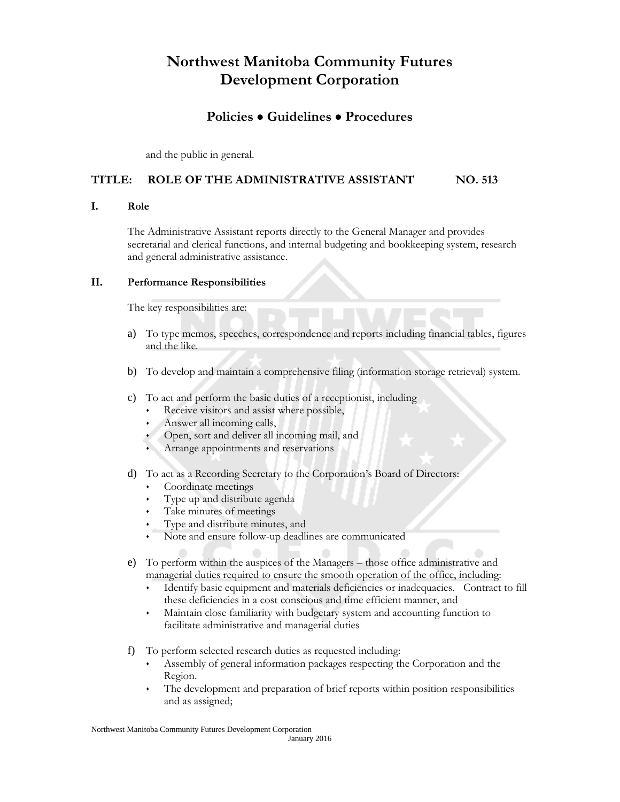### **Policies Guidelines Procedures**

and the public in general.

#### **TITLE: ROLE OF THE ADMINISTRATIVE ASSISTANT NO. 513**

#### **I. Role**

The Administrative Assistant reports directly to the General Manager and provides secretarial and clerical functions, and internal budgeting and bookkeeping system, research and general administrative assistance.

#### **II. Performance Responsibilities**

The key responsibilities are:

- a) To type memos, speeches, correspondence and reports including financial tables, figures and the like.
- b) To develop and maintain a comprehensive filing (information storage retrieval) system.
- c) To act and perform the basic duties of a receptionist, including
	- Receive visitors and assist where possible,
	- Answer all incoming calls,
	- Open, sort and deliver all incoming mail, and
	- Arrange appointments and reservations
- d) To act as a Recording Secretary to the Corporation's Board of Directors:
	- Coordinate meetings
	- Type up and distribute agenda
	- Take minutes of meetings
	- Type and distribute minutes, and
	- Note and ensure follow-up deadlines are communicated
- e) To perform within the auspices of the Managers those office administrative and managerial duties required to ensure the smooth operation of the office, including:
	- Identify basic equipment and materials deficiencies or inadequacies. Contract to fill these deficiencies in a cost conscious and time efficient manner, and
	- Maintain close familiarity with budgetary system and accounting function to facilitate administrative and managerial duties
- f) To perform selected research duties as requested including:
	- Assembly of general information packages respecting the Corporation and the Region.
	- The development and preparation of brief reports within position responsibilities and as assigned;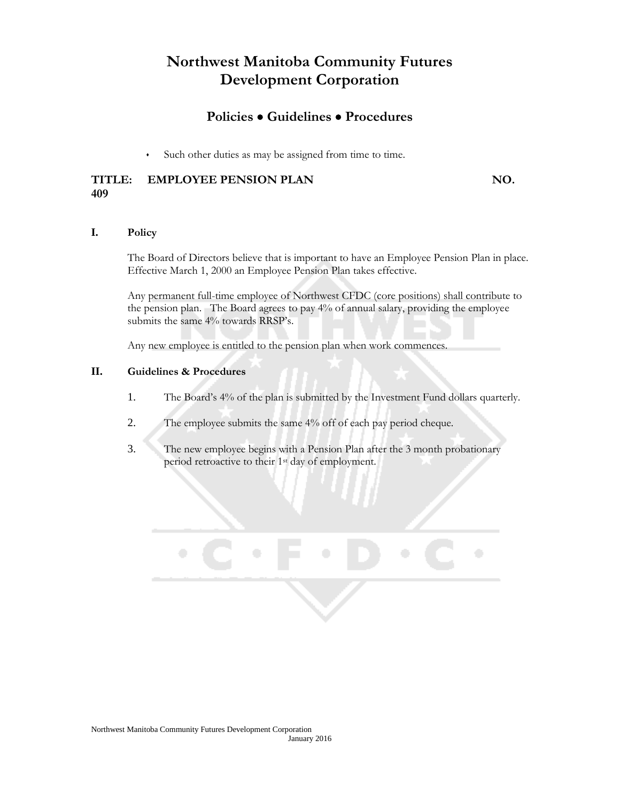### **Policies Guidelines Procedures**

Such other duties as may be assigned from time to time.

#### **TITLE: EMPLOYEE PENSION PLAN NO. 409**

#### **I. Policy**

The Board of Directors believe that is important to have an Employee Pension Plan in place. Effective March 1, 2000 an Employee Pension Plan takes effective.

Any permanent full-time employee of Northwest CFDC (core positions) shall contribute to the pension plan. The Board agrees to pay 4% of annual salary, providing the employee submits the same 4% towards RRSP's.

Any new employee is entitled to the pension plan when work commences.

#### **II. Guidelines & Procedures**

- 1. The Board's 4% of the plan is submitted by the Investment Fund dollars quarterly.
- 2. The employee submits the same 4% off of each pay period cheque.
- 3. The new employee begins with a Pension Plan after the 3 month probationary period retroactive to their 1st day of employment.